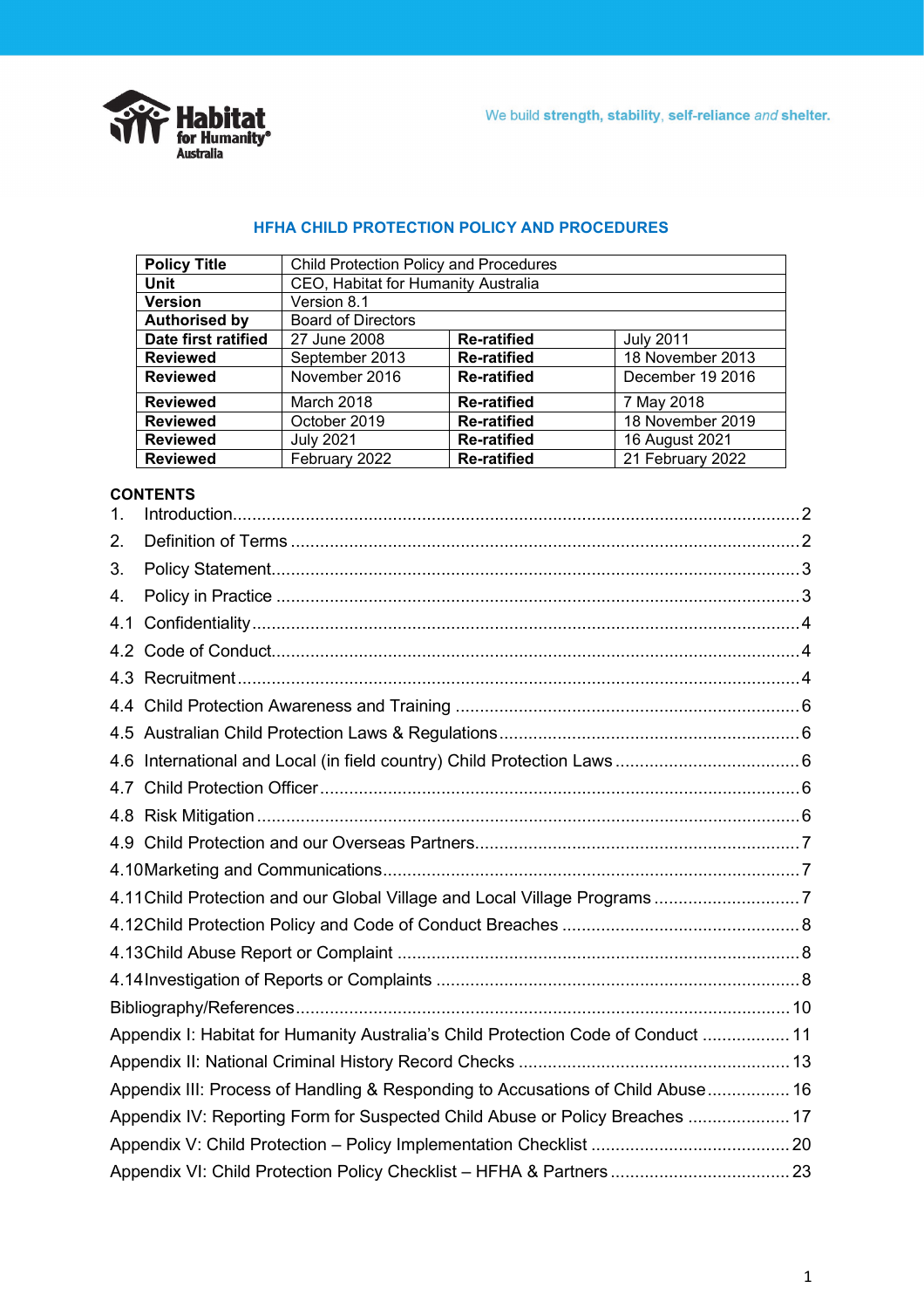

## **HFHA CHILD PROTECTION POLICY AND PROCEDURES**

| <b>Policy Title</b>  | Child Protection Policy and Procedures                   |                    |                  |  |  |
|----------------------|----------------------------------------------------------|--------------------|------------------|--|--|
| <b>Unit</b>          | CEO, Habitat for Humanity Australia                      |                    |                  |  |  |
| <b>Version</b>       | Version 8.1                                              |                    |                  |  |  |
| <b>Authorised by</b> | <b>Board of Directors</b>                                |                    |                  |  |  |
| Date first ratified  | 27 June 2008                                             | <b>Re-ratified</b> | <b>July 2011</b> |  |  |
| <b>Reviewed</b>      | 18 November 2013<br>September 2013<br><b>Re-ratified</b> |                    |                  |  |  |
| <b>Reviewed</b>      | November 2016<br>December 19 2016<br><b>Re-ratified</b>  |                    |                  |  |  |
| <b>Reviewed</b>      | March 2018<br>7 May 2018<br><b>Re-ratified</b>           |                    |                  |  |  |
| <b>Reviewed</b>      | 18 November 2019<br>October 2019<br><b>Re-ratified</b>   |                    |                  |  |  |
| <b>Reviewed</b>      | <b>July 2021</b><br><b>Re-ratified</b><br>16 August 2021 |                    |                  |  |  |
| <b>Reviewed</b>      | February 2022                                            | <b>Re-ratified</b> | 21 February 2022 |  |  |

### **CONTENTS**

| 1.  |                                                                                   |  |
|-----|-----------------------------------------------------------------------------------|--|
| 2.  |                                                                                   |  |
| 3.  |                                                                                   |  |
| 4.  |                                                                                   |  |
| 4.1 |                                                                                   |  |
| 4.2 |                                                                                   |  |
|     |                                                                                   |  |
|     |                                                                                   |  |
|     |                                                                                   |  |
|     |                                                                                   |  |
|     |                                                                                   |  |
|     |                                                                                   |  |
|     |                                                                                   |  |
|     |                                                                                   |  |
|     | 4.11 Child Protection and our Global Village and Local Village Programs7          |  |
|     |                                                                                   |  |
|     |                                                                                   |  |
|     |                                                                                   |  |
|     |                                                                                   |  |
|     | Appendix I: Habitat for Humanity Australia's Child Protection Code of Conduct  11 |  |
|     |                                                                                   |  |
|     | Appendix III: Process of Handling & Responding to Accusations of Child Abuse 16   |  |
|     | Appendix IV: Reporting Form for Suspected Child Abuse or Policy Breaches  17      |  |
|     |                                                                                   |  |
|     |                                                                                   |  |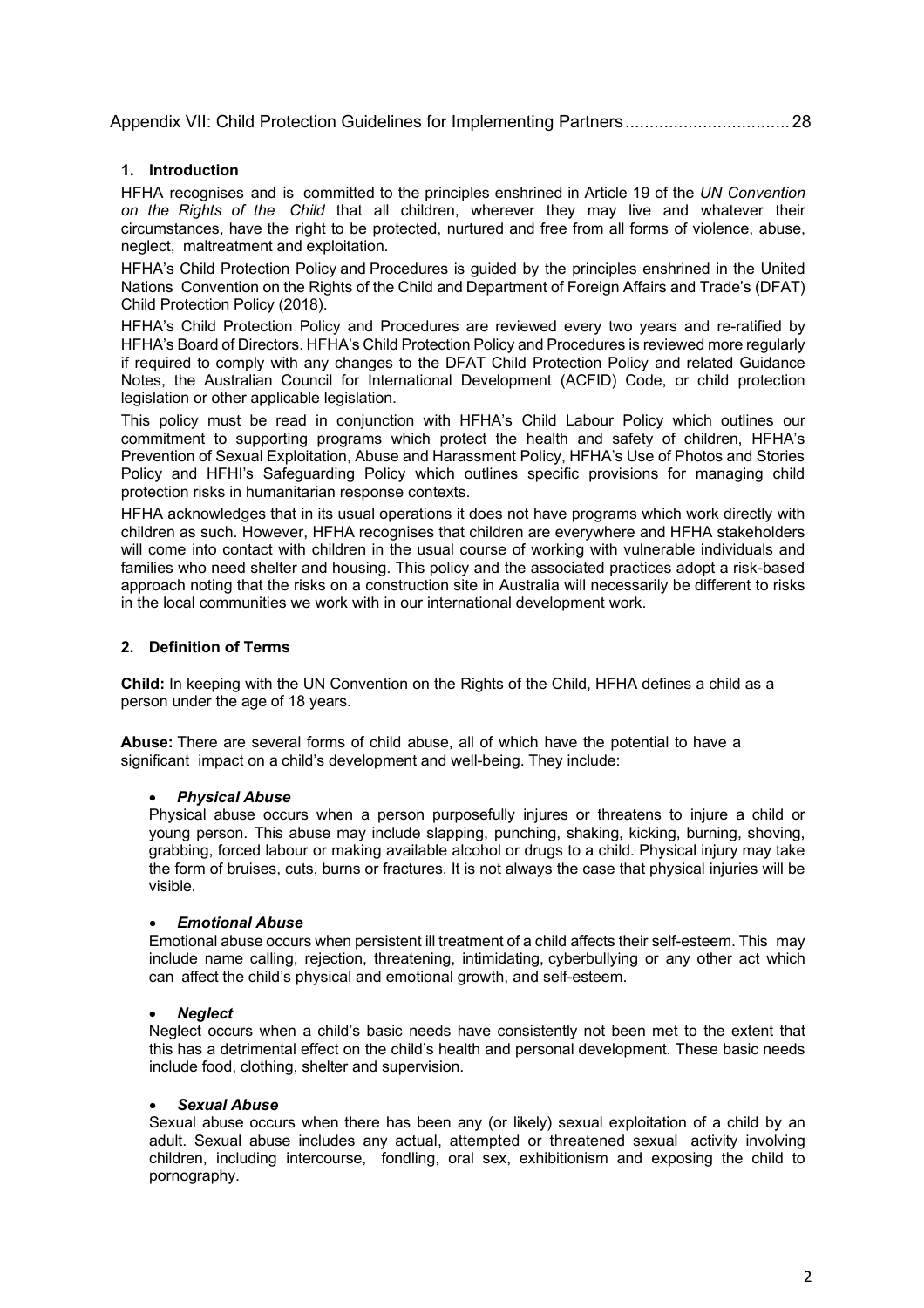Appendix VII: [Child Protection Guidelines for Implementing Partners..................................](#page-27-0) 28

### <span id="page-1-0"></span>**1. Introduction**

HFHA recognises and is committed to the principles enshrined in Article 19 of the *UN Convention on the Rights of the Child* that all children, wherever they may live and whatever their circumstances, have the right to be protected, nurtured and free from all forms of violence, abuse, neglect, maltreatment and exploitation.

HFHA's Child Protection Policy and Procedures is guided by the principles enshrined in the United Nations Convention on the Rights of the Child and Department of Foreign Affairs and Trade's (DFAT) Child Protection Policy (2018).

HFHA's Child Protection Policy and Procedures are reviewed every two years and re-ratified by HFHA's Board of Directors. HFHA's Child Protection Policy and Procedures is reviewed more regularly if required to comply with any changes to the DFAT Child Protection Policy and related Guidance Notes, the Australian Council for International Development (ACFID) Code, or child protection legislation or other applicable legislation.

This policy must be read in conjunction with HFHA's Child Labour Policy which outlines our commitment to supporting programs which protect the health and safety of children, HFHA's Prevention of Sexual Exploitation, Abuse and Harassment Policy, HFHA's Use of Photos and Stories Policy and HFHI's Safeguarding Policy which outlines specific provisions for managing child protection risks in humanitarian response contexts.

HFHA acknowledges that in its usual operations it does not have programs which work directly with children as such. However, HFHA recognises that children are everywhere and HFHA stakeholders will come into contact with children in the usual course of working with vulnerable individuals and families who need shelter and housing. This policy and the associated practices adopt a risk-based approach noting that the risks on a construction site in Australia will necessarily be different to risks in the local communities we work with in our international development work.

## <span id="page-1-1"></span>**2. Definition of Terms**

**Child:** In keeping with the UN Convention on the Rights of the Child, HFHA defines a child as a person under the age of 18 years.

**Abuse:** There are several forms of child abuse, all of which have the potential to have a significant impact on a child's development and well-being. They include:

### • *Physical Abuse*

Physical abuse occurs when a person purposefully injures or threatens to injure a child or young person. This abuse may include slapping, punching, shaking, kicking, burning, shoving, grabbing, forced labour or making available alcohol or drugs to a child. Physical injury may take the form of bruises, cuts, burns or fractures. It is not always the case that physical injuries will be visible.

### • *Emotional Abuse*

Emotional abuse occurs when persistent ill treatment of a child affects their self-esteem. This may include name calling, rejection, threatening, intimidating, cyberbullying or any other act which can affect the child's physical and emotional growth, and self-esteem.

### • *Neglect*

Neglect occurs when a child's basic needs have consistently not been met to the extent that this has a detrimental effect on the child's health and personal development. These basic needs include food, clothing, shelter and supervision.

### • *Sexual Abuse*

Sexual abuse occurs when there has been any (or likely) sexual exploitation of a child by an adult. Sexual abuse includes any actual, attempted or threatened sexual activity involving children, including intercourse, fondling, oral sex, exhibitionism and exposing the child to pornography.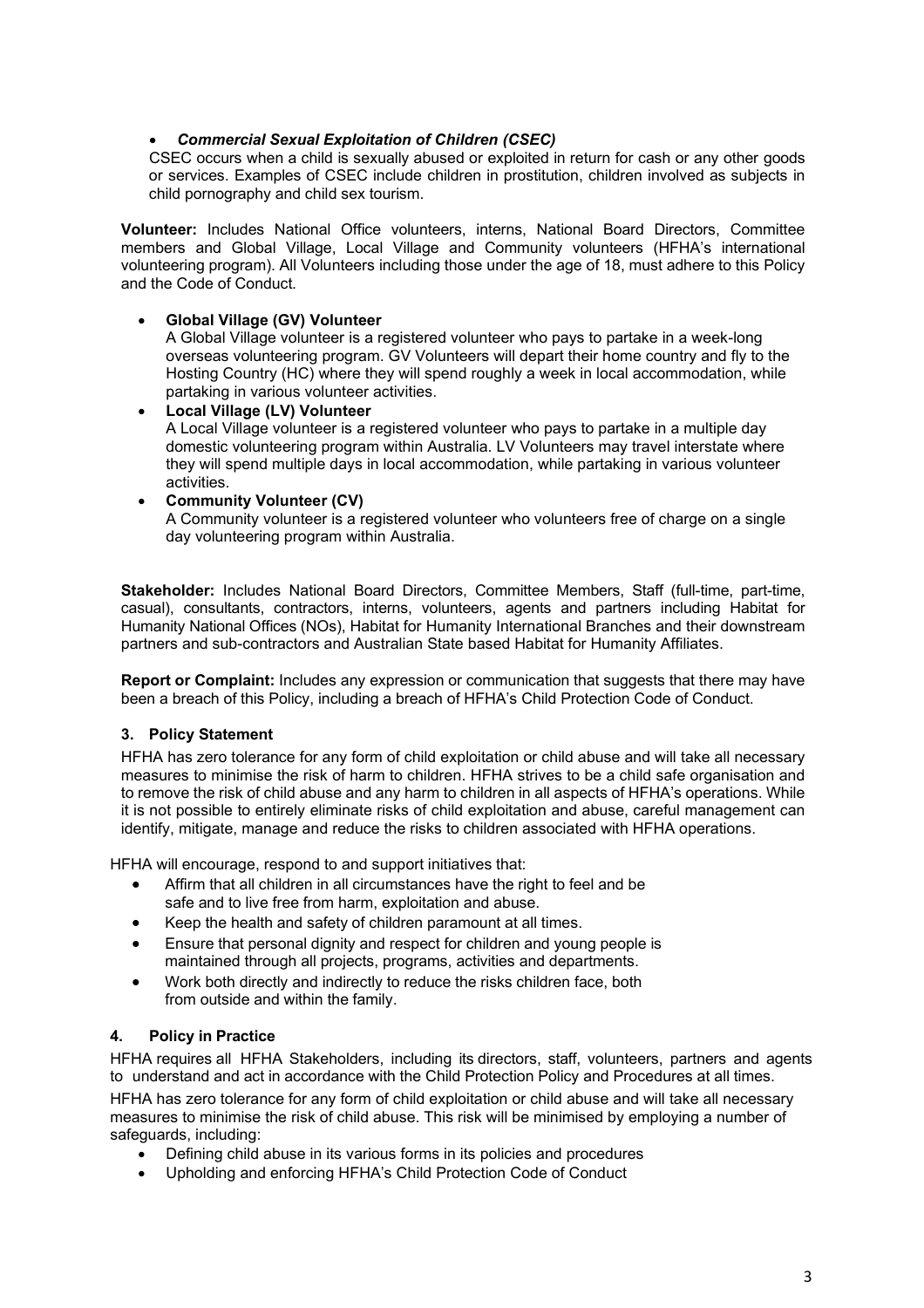## • *Commercial Sexual Exploitation of Children (CSEC)*

CSEC occurs when a child is sexually abused or exploited in return for cash or any other goods or services. Examples of CSEC include children in prostitution, children involved as subjects in child pornography and child sex tourism.

**Volunteer:** Includes National Office volunteers, interns, National Board Directors, Committee members and Global Village, Local Village and Community volunteers (HFHA's international volunteering program). All Volunteers including those under the age of 18, must adhere to this Policy and the Code of Conduct.

## • **Global Village (GV) Volunteer**

A Global Village volunteer is a registered volunteer who pays to partake in a week-long overseas volunteering program. GV Volunteers will depart their home country and fly to the Hosting Country (HC) where they will spend roughly a week in local accommodation, while partaking in various volunteer activities.

• **Local Village (LV) Volunteer** A Local Village volunteer is a registered volunteer who pays to partake in a multiple day domestic volunteering program within Australia. LV Volunteers may travel interstate where they will spend multiple days in local accommodation, while partaking in various volunteer activities.

## • **Community Volunteer (CV)**

A Community volunteer is a registered volunteer who volunteers free of charge on a single day volunteering program within Australia.

**Stakeholder:** Includes National Board Directors, Committee Members, Staff (full-time, part-time, casual), consultants, contractors, interns, volunteers, agents and partners including Habitat for Humanity National Offices (NOs), Habitat for Humanity International Branches and their downstream partners and sub-contractors and Australian State based Habitat for Humanity Affiliates.

**Report or Complaint:** Includes any expression or communication that suggests that there may have been a breach of this Policy, including a breach of HFHA's Child Protection Code of Conduct.

# <span id="page-2-0"></span>**3. Policy Statement**

HFHA has zero tolerance for any form of child exploitation or child abuse and will take all necessary measures to minimise the risk of harm to children. HFHA strives to be a child safe organisation and to remove the risk of child abuse and any harm to children in all aspects of HFHA's operations. While it is not possible to entirely eliminate risks of child exploitation and abuse, careful management can identify, mitigate, manage and reduce the risks to children associated with HFHA operations.

HFHA will encourage, respond to and support initiatives that:

- Affirm that all children in all circumstances have the right to feel and be safe and to live free from harm, exploitation and abuse.
- Keep the health and safety of children paramount at all times.
- Ensure that personal dignity and respect for children and young people is maintained through all projects, programs, activities and departments.
- Work both directly and indirectly to reduce the risks children face, both from outside and within the family.

### <span id="page-2-1"></span>**4. Policy in Practice**

HFHA requires all HFHA Stakeholders, including its directors, staff, volunteers, partners and agents to understand and act in accordance with the Child Protection Policy and Procedures at all times.

HFHA has zero tolerance for any form of child exploitation or child abuse and will take all necessary measures to minimise the risk of child abuse. This risk will be minimised by employing a number of safeguards, including:

- Defining child abuse in its various forms in its policies and procedures
- Upholding and enforcing HFHA's Child Protection Code of Conduct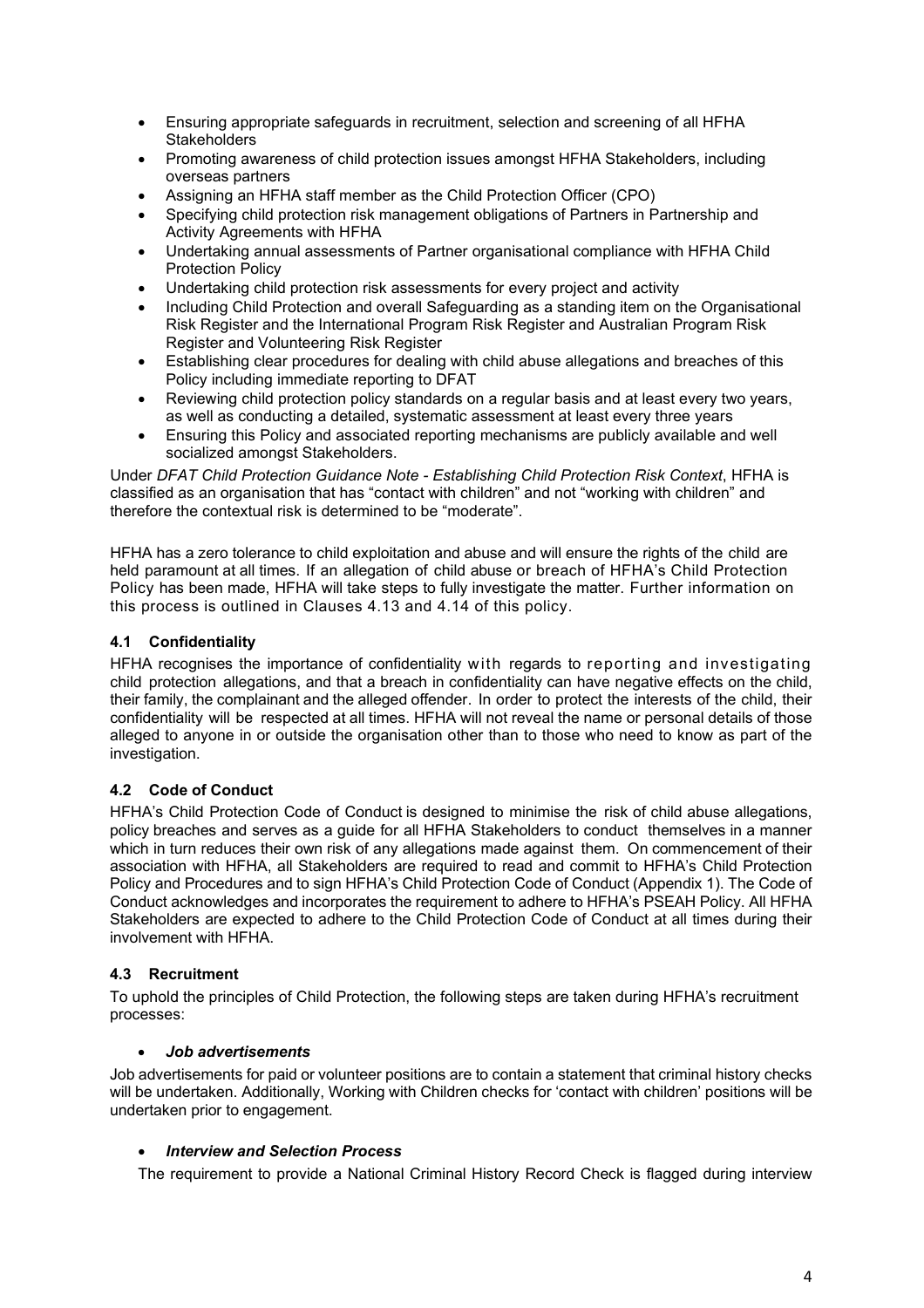- Ensuring appropriate safeguards in recruitment, selection and screening of all HFHA **Stakeholders**
- Promoting awareness of child protection issues amongst HFHA Stakeholders, including overseas partners
- Assigning an HFHA staff member as the Child Protection Officer (CPO)
- Specifying child protection risk management obligations of Partners in Partnership and Activity Agreements with HFHA
- Undertaking annual assessments of Partner organisational compliance with HFHA Child Protection Policy
- Undertaking child protection risk assessments for every project and activity
- Including Child Protection and overall Safeguarding as a standing item on the Organisational Risk Register and the International Program Risk Register and Australian Program Risk Register and Volunteering Risk Register
- Establishing clear procedures for dealing with child abuse allegations and breaches of this Policy including immediate reporting to DFAT
- Reviewing child protection policy standards on a regular basis and at least every two years, as well as conducting a detailed, systematic assessment at least every three years
- Ensuring this Policy and associated reporting mechanisms are publicly available and well socialized amongst Stakeholders.

Under *DFAT Child Protection Guidance Note - Establishing Child Protection Risk Context*, HFHA is classified as an organisation that has "contact with children" and not "working with children" and therefore the contextual risk is determined to be "moderate".

HFHA has a zero tolerance to child exploitation and abuse and will ensure the rights of the child are held paramount at all times. If an allegation of child abuse or breach of HFHA's Child Protection Policy has been made, HFHA will take steps to fully investigate the matter. Further information on this process is outlined in Clauses 4.13 and 4.14 of this policy.

# <span id="page-3-0"></span>**4.1 Confidentiality**

HFHA recognises the importance of confidentiality with regards to reporting and investigating child protection allegations, and that a breach in confidentiality can have negative effects on the child, their family, the complainant and the alleged offender. In order to protect the interests of the child, their confidentiality will be respected at all times. HFHA will not reveal the name or personal details of those alleged to anyone in or outside the organisation other than to those who need to know as part of the investigation.

# <span id="page-3-1"></span>**4.2 Code of Conduct**

HFHA's Child Protection Code of Conduct is designed to minimise the risk of child abuse allegations, policy breaches and serves as a guide for all HFHA Stakeholders to conduct themselves in a manner which in turn reduces their own risk of any allegations made against them. On commencement of their association with HFHA, all Stakeholders are required to read and commit to HFHA's Child Protection Policy and Procedures and to sign HFHA's Child Protection Code of Conduct (Appendix 1). The Code of Conduct acknowledges and incorporates the requirement to adhere to HFHA's PSEAH Policy. All HFHA Stakeholders are expected to adhere to the Child Protection Code of Conduct at all times during their involvement with HFHA.

# <span id="page-3-2"></span>**4.3 Recruitment**

To uphold the principles of Child Protection, the following steps are taken during HFHA's recruitment processes:

### • *Job advertisements*

Job advertisements for paid or volunteer positions are to contain a statement that criminal history checks will be undertaken. Additionally, Working with Children checks for 'contact with children' positions will be undertaken prior to engagement.

### • *Interview and Selection Process*

The requirement to provide a National Criminal History Record Check is flagged during interview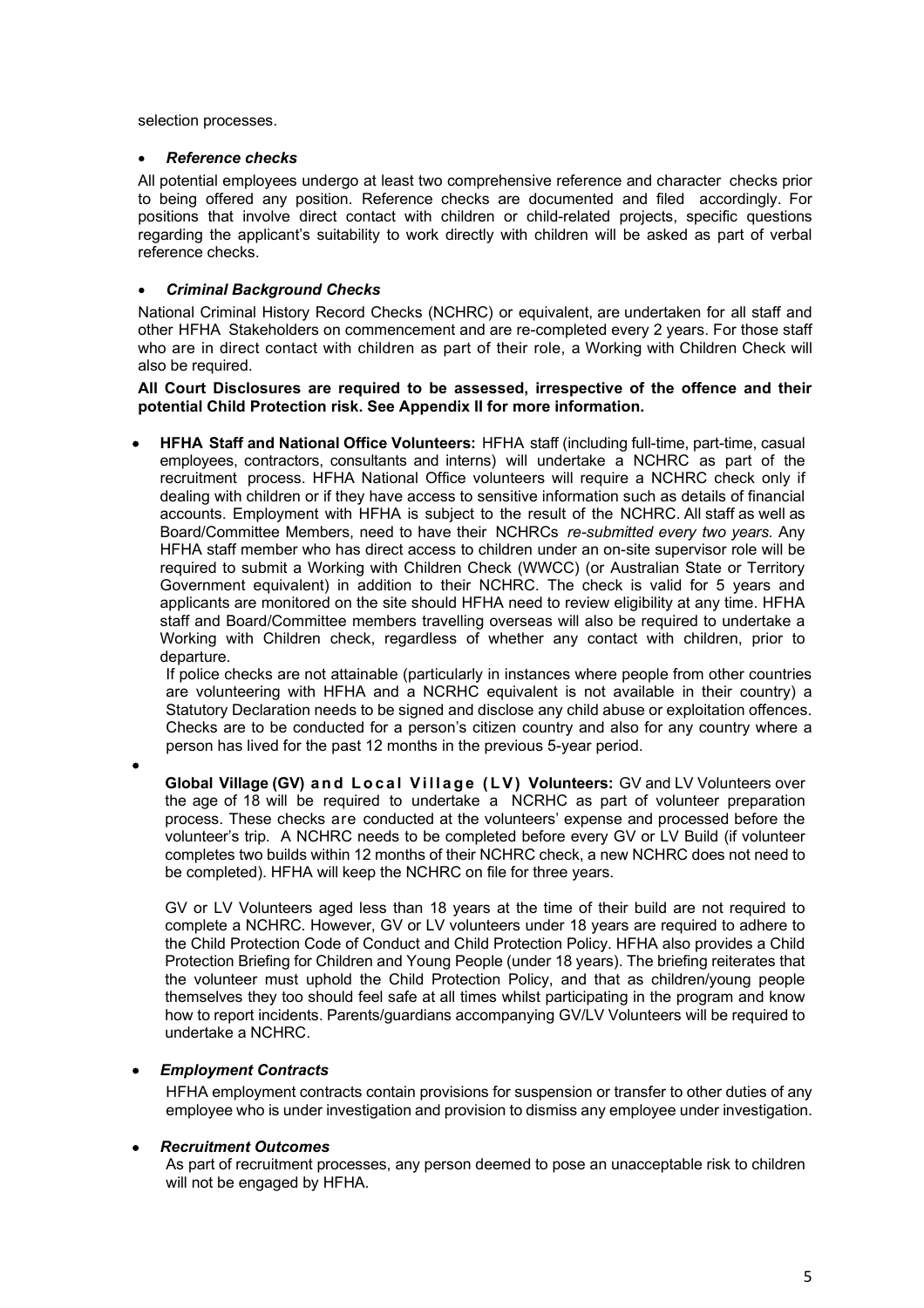selection processes.

### • *Reference checks*

All potential employees undergo at least two comprehensive reference and character checks prior to being offered any position. Reference checks are documented and filed accordingly. For positions that involve direct contact with children or child-related projects, specific questions regarding the applicant's suitability to work directly with children will be asked as part of verbal reference checks.

### • *Criminal Background Checks*

National Criminal History Record Checks (NCHRC) or equivalent, are undertaken for all staff and other HFHA Stakeholders on commencement and are re-completed every 2 years. For those staff who are in direct contact with children as part of their role, a Working with Children Check will also be required.

### **All Court Disclosures are required to be assessed, irrespective of the offence and their potential Child Protection risk. See Appendix II for more information.**

• **HFHA Staff and National Office Volunteers:** HFHA staff (including full-time, part-time, casual employees, contractors, consultants and interns) will undertake a NCHRC as part of the recruitment process. HFHA National Office volunteers will require a NCHRC check only if dealing with children or if they have access to sensitive information such as details of financial accounts. Employment with HFHA is subject to the result of the NCHRC. All staff as well as Board/Committee Members, need to have their NCHRCs *re-submitted every two years.* Any HFHA staff member who has direct access to children under an on-site supervisor role will be required to submit a Working with Children Check (WWCC) (or Australian State or Territory Government equivalent) in addition to their NCHRC. The check is valid for 5 years and applicants are monitored on the site should HFHA need to review eligibility at any time. HFHA staff and Board/Committee members travelling overseas will also be required to undertake a Working with Children check, regardless of whether any contact with children, prior to departure.

If police checks are not attainable (particularly in instances where people from other countries are volunteering with HFHA and a NCRHC equivalent is not available in their country) a Statutory Declaration needs to be signed and disclose any child abuse or exploitation offences. Checks are to be conducted for a person's citizen country and also for any country where a person has lived for the past 12 months in the previous 5-year period.

•

**Global Village (GV) and Local Village (LV) Volunteers:** GV and LV Volunteers over the age of 18 will be required to undertake a NCRHC as part of volunteer preparation process. These checks are conducted at the volunteers' expense and processed before the volunteer's trip. A NCHRC needs to be completed before every GV or LV Build (if volunteer completes two builds within 12 months of their NCHRC check, a new NCHRC does not need to be completed). HFHA will keep the NCHRC on file for three years.

GV or LV Volunteers aged less than 18 years at the time of their build are not required to complete a NCHRC. However, GV or LV volunteers under 18 years are required to adhere to the Child Protection Code of Conduct and Child Protection Policy. HFHA also provides a Child Protection Briefing for Children and Young People (under 18 years). The briefing reiterates that the volunteer must uphold the Child Protection Policy, and that as children/young people themselves they too should feel safe at all times whilst participating in the program and know how to report incidents. Parents/guardians accompanying GV/LV Volunteers will be required to undertake a NCHRC.

### • *Employment Contracts*

HFHA employment contracts contain provisions for suspension or transfer to other duties of any employee who is under investigation and provision to dismiss any employee under investigation.

### • *Recruitment Outcomes*

As part of recruitment processes, any person deemed to pose an unacceptable risk to children will not be engaged by HFHA.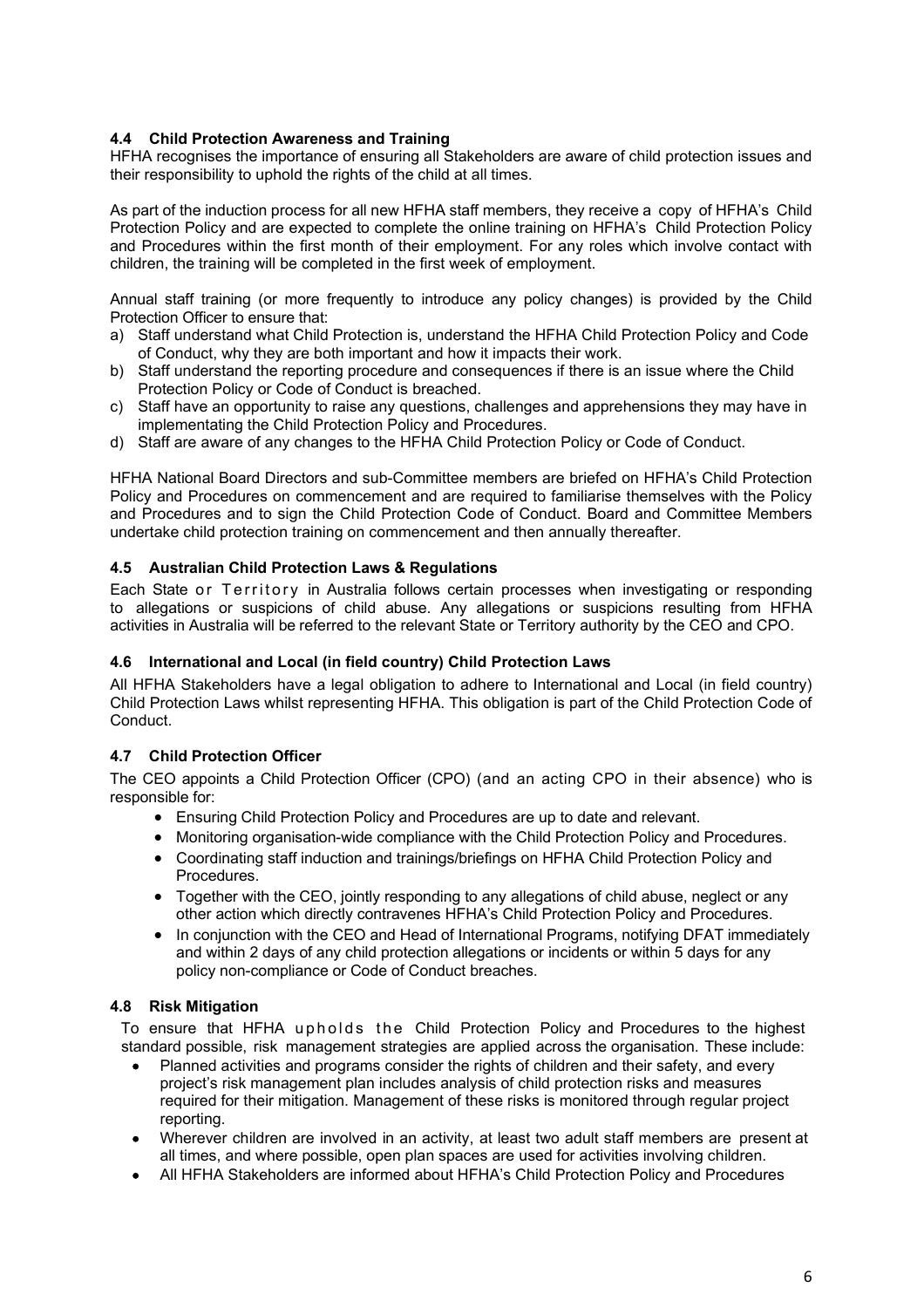### <span id="page-5-0"></span>**4.4 Child Protection Awareness and Training**

HFHA recognises the importance of ensuring all Stakeholders are aware of child protection issues and their responsibility to uphold the rights of the child at all times.

As part of the induction process for all new HFHA staff members, they receive a copy of HFHA's Child Protection Policy and are expected to complete the online training on HFHA's Child Protection Policy and Procedures within the first month of their employment. For any roles which involve contact with children, the training will be completed in the first week of employment.

Annual staff training (or more frequently to introduce any policy changes) is provided by the Child Protection Officer to ensure that:

- a) Staff understand what Child Protection is, understand the HFHA Child Protection Policy and Code of Conduct, why they are both important and how it impacts their work.
- b) Staff understand the reporting procedure and consequences if there is an issue where the Child Protection Policy or Code of Conduct is breached.
- c) Staff have an opportunity to raise any questions, challenges and apprehensions they may have in implementating the Child Protection Policy and Procedures.
- d) Staff are aware of any changes to the HFHA Child Protection Policy or Code of Conduct.

HFHA National Board Directors and sub-Committee members are briefed on HFHA's Child Protection Policy and Procedures on commencement and are required to familiarise themselves with the Policy and Procedures and to sign the Child Protection Code of Conduct. Board and Committee Members undertake child protection training on commencement and then annually thereafter.

## <span id="page-5-1"></span>**4.5 Australian Child Protection Laws & Regulations**

Each State or Territory in Australia follows certain processes when investigating or responding to allegations or suspicions of child abuse. Any allegations or suspicions resulting from HFHA activities in Australia will be referred to the relevant State or Territory authority by the CEO and CPO.

### <span id="page-5-2"></span>**4.6 International and Local (in field country) Child Protection Laws**

All HFHA Stakeholders have a legal obligation to adhere to International and Local (in field country) Child Protection Laws whilst representing HFHA. This obligation is part of the Child Protection Code of Conduct.

# <span id="page-5-3"></span>**4.7 Child Protection Officer**

The CEO appoints a Child Protection Officer (CPO) (and an acting CPO in their absence) who is responsible for:

- Ensuring Child Protection Policy and Procedures are up to date and relevant.
- Monitoring organisation-wide compliance with the Child Protection Policy and Procedures.
- Coordinating staff induction and trainings/briefings on HFHA Child Protection Policy and Procedures.
- Together with the CEO, jointly responding to any allegations of child abuse, neglect or any other action which directly contravenes HFHA's Child Protection Policy and Procedures.
- In conjunction with the CEO and Head of International Programs, notifying DFAT immediately and within 2 days of any child protection allegations or incidents or within 5 days for any policy non-compliance or Code of Conduct breaches.

# <span id="page-5-4"></span>**4.8 Risk Mitigation**

To ensure that HFHA upholds the Child Protection Policy and Procedures to the highest standard possible, risk management strategies are applied across the organisation. These include:

- Planned activities and programs consider the rights of children and their safety, and every project's risk management plan includes analysis of child protection risks and measures required for their mitigation. Management of these risks is monitored through regular project reporting.
- Wherever children are involved in an activity, at least two adult staff members are present at all times, and where possible, open plan spaces are used for activities involving children.
- All HFHA Stakeholders are informed about HFHA's Child Protection Policy and Procedures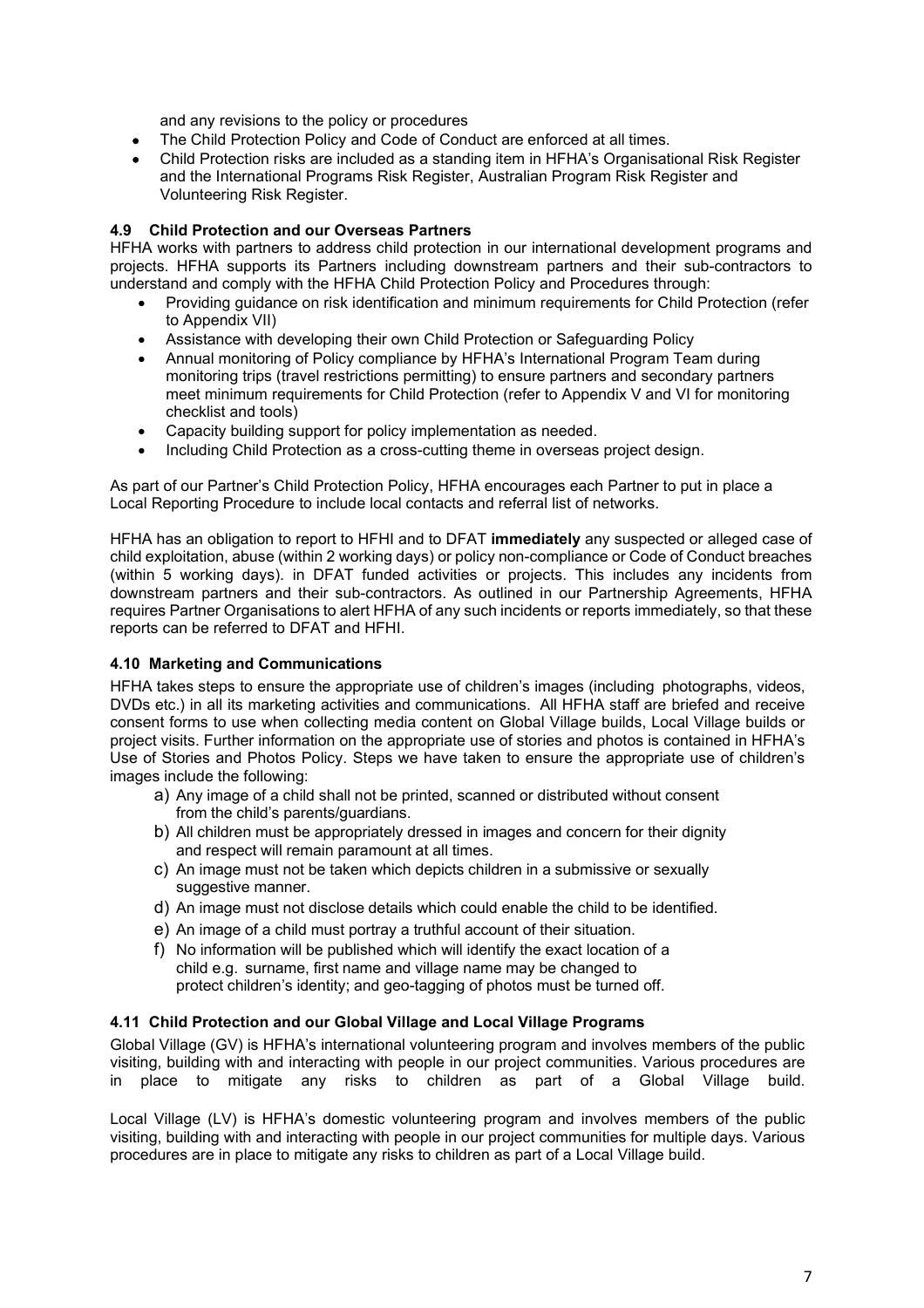and any revisions to the policy or procedures

- The Child Protection Policy and Code of Conduct are enforced at all times.
- Child Protection risks are included as a standing item in HFHA's Organisational Risk Register and the International Programs Risk Register, Australian Program Risk Register and Volunteering Risk Register.

### <span id="page-6-0"></span>**4.9 Child Protection and our Overseas Partners**

HFHA works with partners to address child protection in our international development programs and projects. HFHA supports its Partners including downstream partners and their sub-contractors to understand and comply with the HFHA Child Protection Policy and Procedures through:

- Providing guidance on risk identification and minimum requirements for Child Protection (refer to Appendix VII)
- Assistance with developing their own Child Protection or Safeguarding Policy
- Annual monitoring of Policy compliance by HFHA's International Program Team during monitoring trips (travel restrictions permitting) to ensure partners and secondary partners meet minimum requirements for Child Protection (refer to Appendix V and VI for monitoring checklist and tools)
- Capacity building support for policy implementation as needed.
- Including Child Protection as a cross-cutting theme in overseas project design.

As part of our Partner's Child Protection Policy, HFHA encourages each Partner to put in place a Local Reporting Procedure to include local contacts and referral list of networks.

HFHA has an obligation to report to HFHI and to DFAT **immediately** any suspected or alleged case of child exploitation, abuse (within 2 working days) or policy non-compliance or Code of Conduct breaches (within 5 working days). in DFAT funded activities or projects. This includes any incidents from downstream partners and their sub-contractors. As outlined in our Partnership Agreements, HFHA requires Partner Organisations to alert HFHA of any such incidents or reports immediately, so that these reports can be referred to DFAT and HFHI.

### <span id="page-6-1"></span>**4.10 Marketing and Communications**

HFHA takes steps to ensure the appropriate use of children's images (including photographs, videos, DVDs etc.) in all its marketing activities and communications. All HFHA staff are briefed and receive consent forms to use when collecting media content on Global Village builds, Local Village builds or project visits. Further information on the appropriate use of stories and photos is contained in HFHA's Use of Stories and Photos Policy. Steps we have taken to ensure the appropriate use of children's images include the following:

- a) Any image of a child shall not be printed, scanned or distributed without consent from the child's parents/guardians.
- b) All children must be appropriately dressed in images and concern for their dignity and respect will remain paramount at all times.
- c) An image must not be taken which depicts children in a submissive or sexually suggestive manner.
- d) An image must not disclose details which could enable the child to be identified.
- e) An image of a child must portray a truthful account of their situation.
- f) No information will be published which will identify the exact location of a child e.g. surname, first name and village name may be changed to protect children's identity; and geo-tagging of photos must be turned off.

### <span id="page-6-2"></span>**4.11 Child Protection and our Global Village and Local Village Programs**

Global Village (GV) is HFHA's international volunteering program and involves members of the public visiting, building with and interacting with people in our project communities. Various procedures are in place to mitigate any risks to children as part of a Global Village build.

Local Village (LV) is HFHA's domestic volunteering program and involves members of the public visiting, building with and interacting with people in our project communities for multiple days. Various procedures are in place to mitigate any risks to children as part of a Local Village build.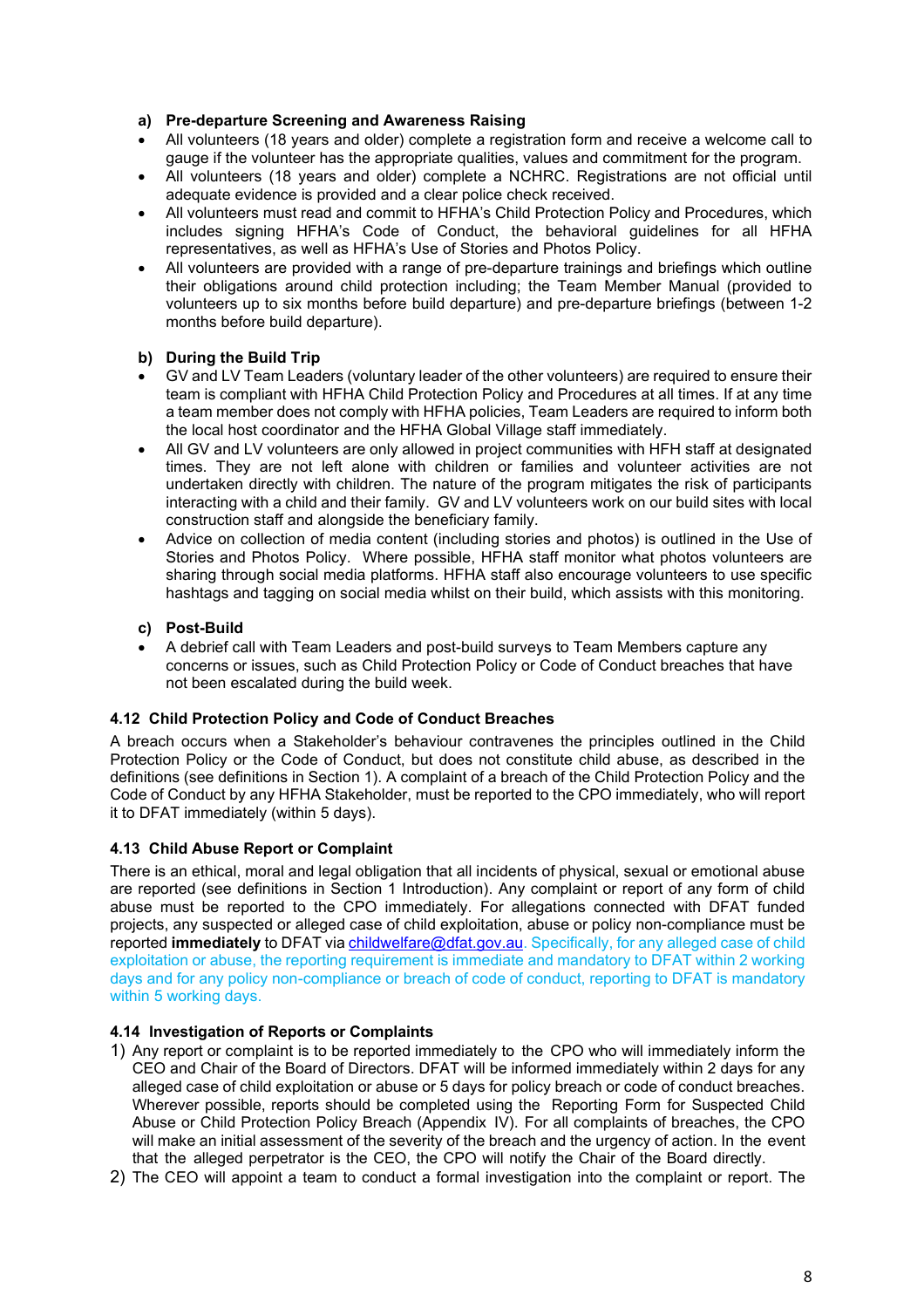### **a) Pre-departure Screening and Awareness Raising**

- All volunteers (18 years and older) complete a registration form and receive a welcome call to gauge if the volunteer has the appropriate qualities, values and commitment for the program.
- All volunteers (18 years and older) complete a NCHRC. Registrations are not official until adequate evidence is provided and a clear police check received.
- All volunteers must read and commit to HFHA's Child Protection Policy and Procedures, which includes signing HFHA's Code of Conduct, the behavioral guidelines for all HFHA representatives, as well as HFHA's Use of Stories and Photos Policy.
- All volunteers are provided with a range of pre-departure trainings and briefings which outline their obligations around child protection including; the Team Member Manual (provided to volunteers up to six months before build departure) and pre-departure briefings (between 1-2 months before build departure).

## **b) During the Build Trip**

- GV and LV Team Leaders (voluntary leader of the other volunteers) are required to ensure their team is compliant with HFHA Child Protection Policy and Procedures at all times. If at any time a team member does not comply with HFHA policies, Team Leaders are required to inform both the local host coordinator and the HFHA Global Village staff immediately.
- All GV and LV volunteers are only allowed in project communities with HFH staff at designated times. They are not left alone with children or families and volunteer activities are not undertaken directly with children. The nature of the program mitigates the risk of participants interacting with a child and their family. GV and LV volunteers work on our build sites with local construction staff and alongside the beneficiary family.
- Advice on collection of media content (including stories and photos) is outlined in the Use of Stories and Photos Policy. Where possible, HFHA staff monitor what photos volunteers are sharing through social media platforms. HFHA staff also encourage volunteers to use specific hashtags and tagging on social media whilst on their build, which assists with this monitoring.

### **c) Post-Build**

• A debrief call with Team Leaders and post-build surveys to Team Members capture any concerns or issues, such as Child Protection Policy or Code of Conduct breaches that have not been escalated during the build week.

### <span id="page-7-0"></span>**4.12 Child Protection Policy and Code of Conduct Breaches**

A breach occurs when a Stakeholder's behaviour contravenes the principles outlined in the Child Protection Policy or the Code of Conduct, but does not constitute child abuse, as described in the definitions (see definitions in Section 1). A complaint of a breach of the Child Protection Policy and the Code of Conduct by any HFHA Stakeholder, must be reported to the CPO immediately, who will report it to DFAT immediately (within 5 days).

### <span id="page-7-1"></span>**4.13 Child Abuse Report or Complaint**

There is an ethical, moral and legal obligation that all incidents of physical, sexual or emotional abuse are reported (see definitions in Section 1 Introduction). Any complaint or report of any form of child abuse must be reported to the CPO immediately. For allegations connected with DFAT funded projects, any suspected or alleged case of child exploitation, abuse or policy non-compliance must be reported *immediately* to DFAT via *childwelfare@dfat.gov.au.* Specifically, for any alleged case of child exploitation or abuse, the reporting requirement is immediate and mandatory to DFAT within 2 working days and for any policy non-compliance or breach of code of conduct, reporting to DFAT is mandatory within 5 working days.

### <span id="page-7-2"></span>**4.14 Investigation of Reports or Complaints**

- 1) Any report or complaint is to be reported immediately to the CPO who will immediately inform the CEO and Chair of the Board of Directors. DFAT will be informed immediately within 2 days for any alleged case of child exploitation or abuse or 5 days for policy breach or code of conduct breaches. Wherever possible, reports should be completed using the Reporting Form for Suspected Child Abuse or Child Protection Policy Breach (Appendix IV). For all complaints of breaches, the CPO will make an initial assessment of the severity of the breach and the urgency of action. In the event that the alleged perpetrator is the CEO, the CPO will notify the Chair of the Board directly.
- 2) The CEO will appoint a team to conduct a formal investigation into the complaint or report. The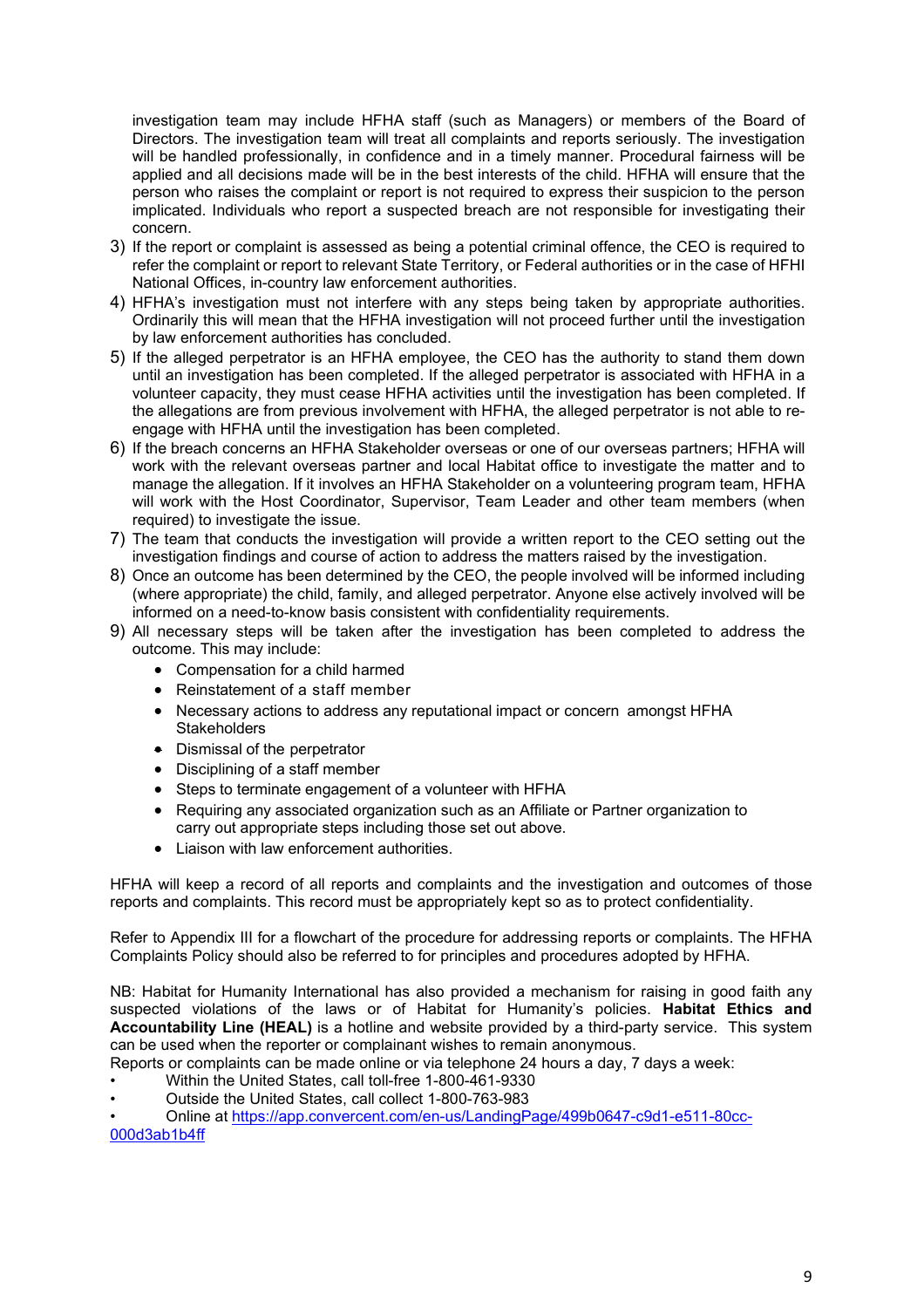investigation team may include HFHA staff (such as Managers) or members of the Board of Directors. The investigation team will treat all complaints and reports seriously. The investigation will be handled professionally, in confidence and in a timely manner. Procedural fairness will be applied and all decisions made will be in the best interests of the child. HFHA will ensure that the person who raises the complaint or report is not required to express their suspicion to the person implicated. Individuals who report a suspected breach are not responsible for investigating their concern.

- 3) If the report or complaint is assessed as being a potential criminal offence, the CEO is required to refer the complaint or report to relevant State Territory, or Federal authorities or in the case of HFHI National Offices, in-country law enforcement authorities.
- 4) HFHA's investigation must not interfere with any steps being taken by appropriate authorities. Ordinarily this will mean that the HFHA investigation will not proceed further until the investigation by law enforcement authorities has concluded.
- 5) If the alleged perpetrator is an HFHA employee, the CEO has the authority to stand them down until an investigation has been completed. If the alleged perpetrator is associated with HFHA in a volunteer capacity, they must cease HFHA activities until the investigation has been completed. If the allegations are from previous involvement with HFHA, the alleged perpetrator is not able to reengage with HFHA until the investigation has been completed.
- 6) If the breach concerns an HFHA Stakeholder overseas or one of our overseas partners; HFHA will work with the relevant overseas partner and local Habitat office to investigate the matter and to manage the allegation. If it involves an HFHA Stakeholder on a volunteering program team, HFHA will work with the Host Coordinator, Supervisor, Team Leader and other team members (when required) to investigate the issue.
- 7) The team that conducts the investigation will provide a written report to the CEO setting out the investigation findings and course of action to address the matters raised by the investigation.
- 8) Once an outcome has been determined by the CEO, the people involved will be informed including (where appropriate) the child, family, and alleged perpetrator. Anyone else actively involved will be informed on a need-to-know basis consistent with confidentiality requirements.
- 9) All necessary steps will be taken after the investigation has been completed to address the outcome. This may include:
	- Compensation for a child harmed
	- Reinstatement of a staff member
	- Necessary actions to address any reputational impact or concern amongst HFHA **Stakeholders**
	- Dismissal of the perpetrator
	- Disciplining of a staff member
	- Steps to terminate engagement of a volunteer with HFHA
	- Requiring any associated organization such as an Affiliate or Partner organization to carry out appropriate steps including those set out above.
	- Liaison with law enforcement authorities.

HFHA will keep a record of all reports and complaints and the investigation and outcomes of those reports and complaints. This record must be appropriately kept so as to protect confidentiality.

Refer to Appendix III for a flowchart of the procedure for addressing reports or complaints. The HFHA Complaints Policy should also be referred to for principles and procedures adopted by HFHA.

NB: Habitat for Humanity International has also provided a mechanism for raising in good faith any suspected violations of the laws or of Habitat for Humanity's policies. **Habitat Ethics and Accountability Line (HEAL)** is a hotline and website provided by a third-party service. This system can be used when the reporter or complainant wishes to remain anonymous.

Reports or complaints can be made online or via telephone 24 hours a day, 7 days a week:

- Within the United States, call toll-free 1-800-461-9330
- Outside the United States, call collect 1-800-763-983

• Online at [https://app.convercent.com/en-us/LandingPage/499b0647-c9d1-e511-80cc-](https://app.convercent.com/en-us/LandingPage/499b0647-c9d1-e511-80cc-000d3ab1b4ff)[000d3ab1b4ff](https://app.convercent.com/en-us/LandingPage/499b0647-c9d1-e511-80cc-000d3ab1b4ff)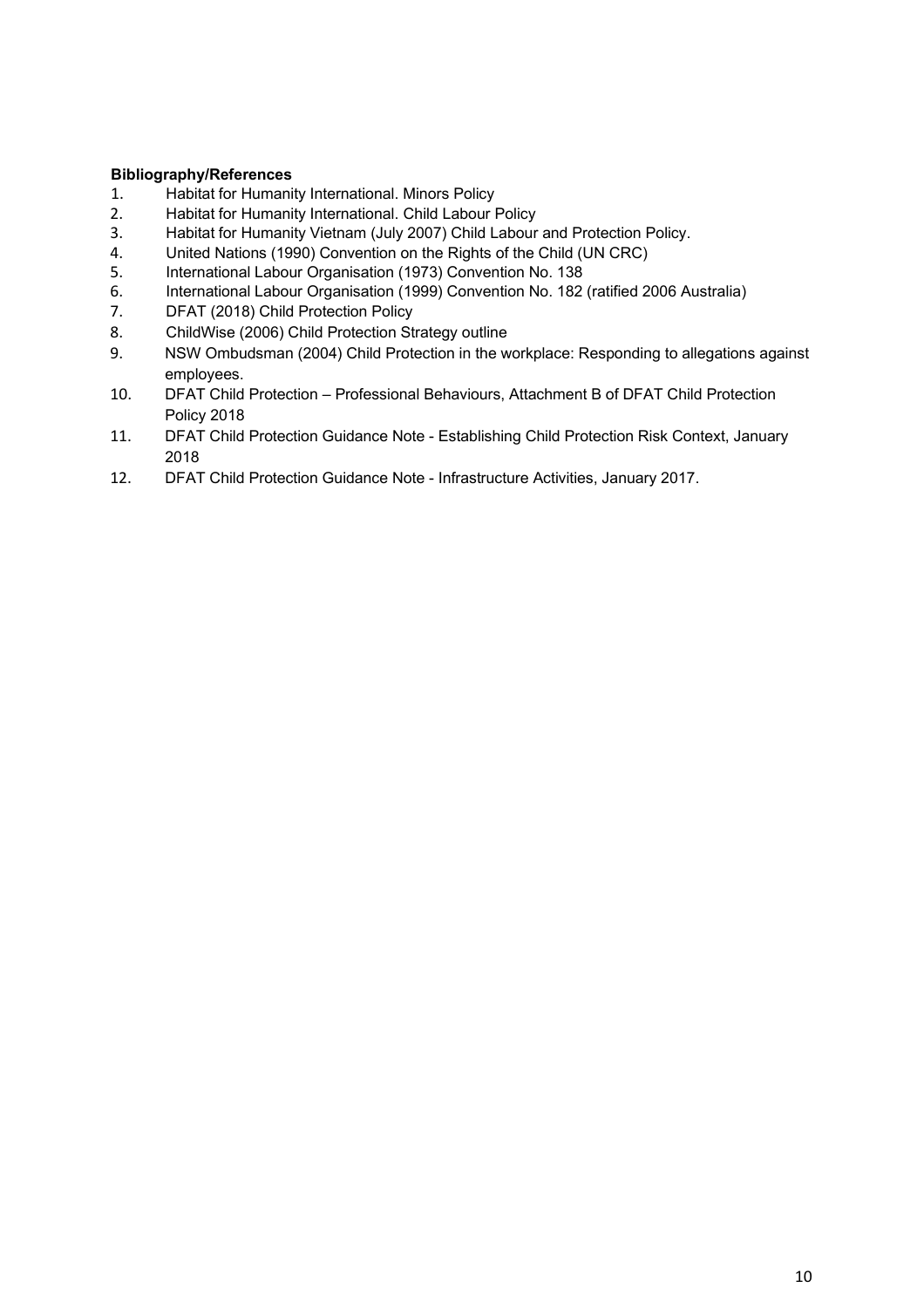- <span id="page-9-0"></span>**Bibliography/References** 1. Habitat for Humanity International. Minors Policy<br>2. Habitat for Humanity International. Child Labour F
- 2. Habitat for Humanity International. Child Labour Policy<br>3. Habitat for Humanity Vietnam (July 2007) Child Labour
- Habitat for Humanity Vietnam (July 2007) Child Labour and Protection Policy.
- 4. United Nations (1990) Convention on the Rights of the Child (UN CRC)<br>5. International Labour Organisation (1973) Convention No. 138
- 5. International Labour Organisation (1973) Convention No. 138
- 6. International Labour Organisation (1999) Convention No. 182 (ratified 2006 Australia)
- 7. DFAT (2018) Child Protection Policy
- 8. ChildWise (2006) Child Protection Strategy outline
- 9. NSW Ombudsman (2004) Child Protection in the workplace: Responding to allegations against employees.
- 10. DFAT Child Protection Professional Behaviours, Attachment B of DFAT Child Protection Policy 2018
- 11. DFAT Child Protection Guidance Note Establishing Child Protection Risk Context, January 2018
- 12. DFAT Child Protection Guidance Note Infrastructure Activities, January 2017.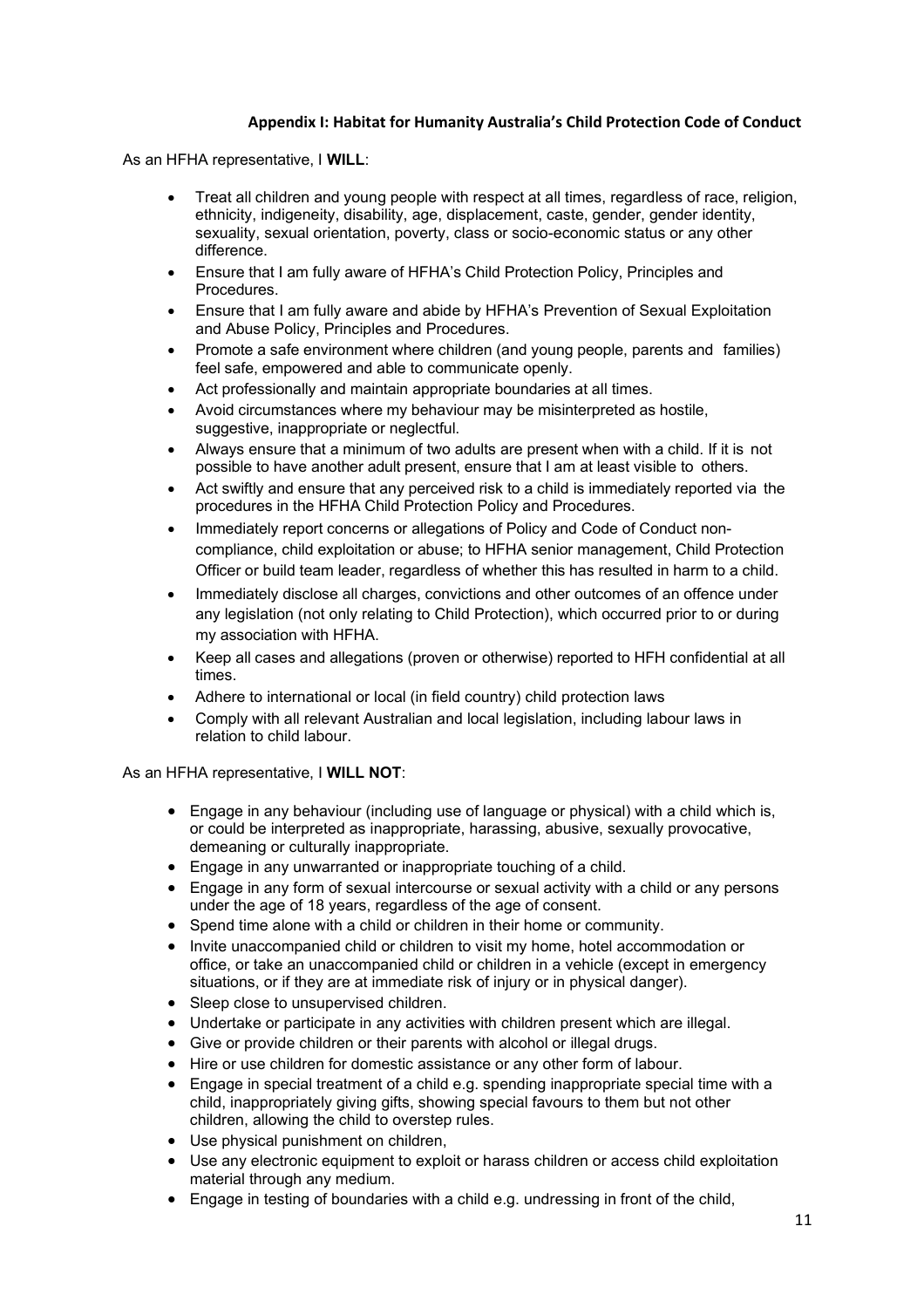## **Appendix I: Habitat for Humanity Australia's Child Protection Code of Conduct**

<span id="page-10-0"></span>As an HFHA representative, I **WILL**:

- Treat all children and young people with respect at all times, regardless of race, religion, ethnicity, indigeneity, disability, age, displacement, caste, gender, gender identity, sexuality, sexual orientation, poverty, class or socio-economic status or any other difference.
- Ensure that I am fully aware of HFHA's Child Protection Policy, Principles and Procedures.
- Ensure that I am fully aware and abide by HFHA's Prevention of Sexual Exploitation and Abuse Policy, Principles and Procedures.
- Promote a safe environment where children (and young people, parents and families) feel safe, empowered and able to communicate openly.
- Act professionally and maintain appropriate boundaries at all times.
- Avoid circumstances where my behaviour may be misinterpreted as hostile, suggestive, inappropriate or neglectful.
- Always ensure that a minimum of two adults are present when with a child. If it is not possible to have another adult present, ensure that I am at least visible to others.
- Act swiftly and ensure that any perceived risk to a child is immediately reported via the procedures in the HFHA Child Protection Policy and Procedures.
- Immediately report concerns or allegations of Policy and Code of Conduct noncompliance, child exploitation or abuse; to HFHA senior management, Child Protection Officer or build team leader, regardless of whether this has resulted in harm to a child.
- Immediately disclose all charges, convictions and other outcomes of an offence under any legislation (not only relating to Child Protection), which occurred prior to or during my association with HFHA.
- Keep all cases and allegations (proven or otherwise) reported to HFH confidential at all times.
- Adhere to international or local (in field country) child protection laws
- Comply with all relevant Australian and local legislation, including labour laws in relation to child labour.

### As an HFHA representative, I **WILL NOT**:

- Engage in any behaviour (including use of language or physical) with a child which is, or could be interpreted as inappropriate, harassing, abusive, sexually provocative, demeaning or culturally inappropriate.
- Engage in any unwarranted or inappropriate touching of a child.
- Engage in any form of sexual intercourse or sexual activity with a child or any persons under the age of 18 years, regardless of the age of consent.
- Spend time alone with a child or children in their home or community.
- Invite unaccompanied child or children to visit my home, hotel accommodation or office, or take an unaccompanied child or children in a vehicle (except in emergency situations, or if they are at immediate risk of injury or in physical danger).
- Sleep close to unsupervised children.
- Undertake or participate in any activities with children present which are illegal.
- Give or provide children or their parents with alcohol or illegal drugs.
- Hire or use children for domestic assistance or any other form of labour.
- Engage in special treatment of a child e.g. spending inappropriate special time with a child, inappropriately giving gifts, showing special favours to them but not other children, allowing the child to overstep rules.
- Use physical punishment on children,
- Use any electronic equipment to exploit or harass children or access child exploitation material through any medium.
- Engage in testing of boundaries with a child e.g. undressing in front of the child,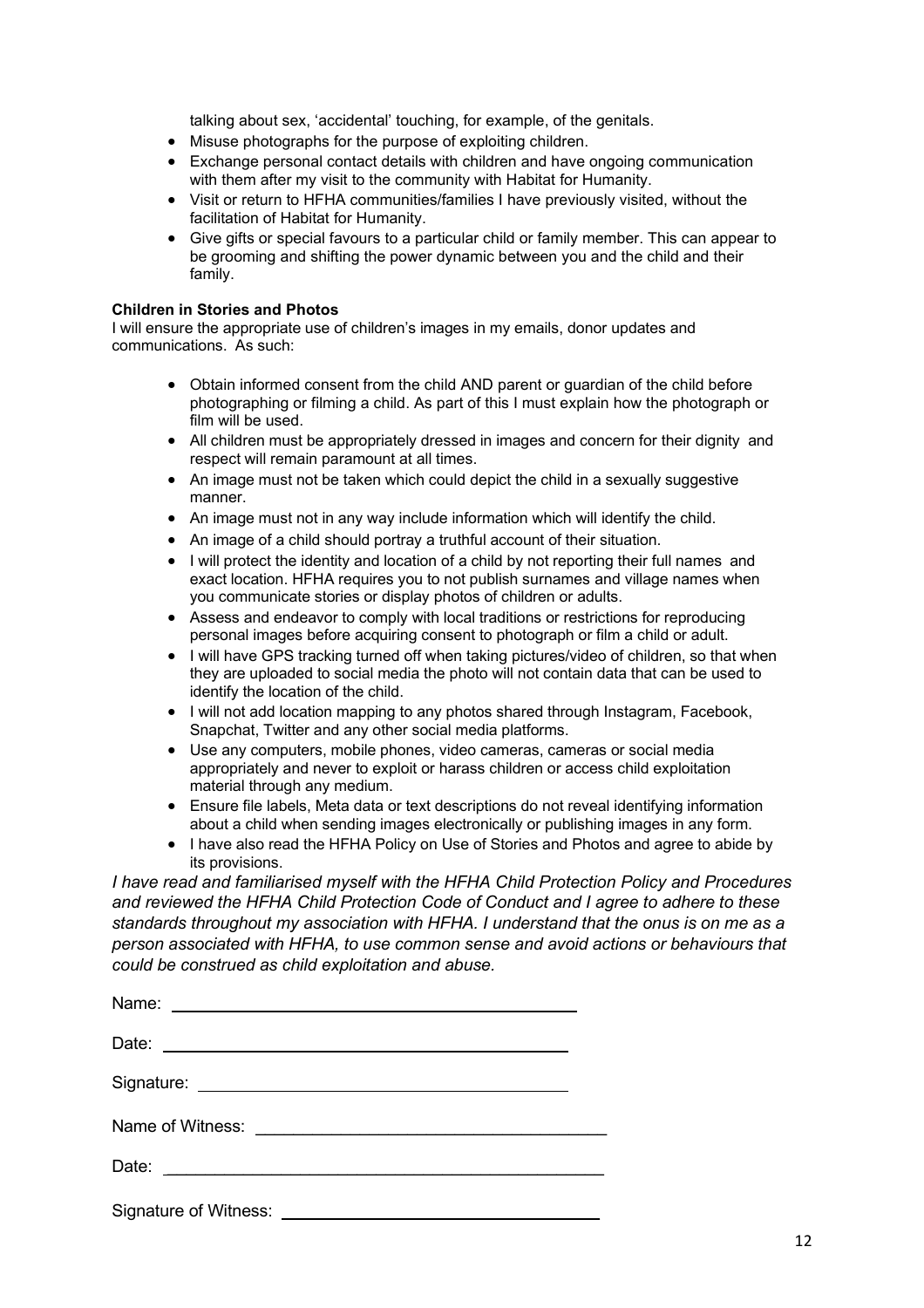talking about sex, 'accidental' touching, for example, of the genitals.

- Misuse photographs for the purpose of exploiting children.
- Exchange personal contact details with children and have ongoing communication with them after my visit to the community with Habitat for Humanity.
- Visit or return to HFHA communities/families I have previously visited, without the facilitation of Habitat for Humanity.
- Give gifts or special favours to a particular child or family member. This can appear to be grooming and shifting the power dynamic between you and the child and their family.

### **Children in Stories and Photos**

I will ensure the appropriate use of children's images in my emails, donor updates and communications. As such:

- Obtain informed consent from the child AND parent or guardian of the child before photographing or filming a child. As part of this I must explain how the photograph or film will be used.
- All children must be appropriately dressed in images and concern for their dignity and respect will remain paramount at all times.
- An image must not be taken which could depict the child in a sexually suggestive manner.
- An image must not in any way include information which will identify the child.
- An image of a child should portray a truthful account of their situation.
- I will protect the identity and location of a child by not reporting their full names and exact location. HFHA requires you to not publish surnames and village names when you communicate stories or display photos of children or adults.
- Assess and endeavor to comply with local traditions or restrictions for reproducing personal images before acquiring consent to photograph or film a child or adult.
- I will have GPS tracking turned off when taking pictures/video of children, so that when they are uploaded to social media the photo will not contain data that can be used to identify the location of the child.
- I will not add location mapping to any photos shared through Instagram, Facebook, Snapchat, Twitter and any other social media platforms.
- Use any computers, mobile phones, video cameras, cameras or social media appropriately and never to exploit or harass children or access child exploitation material through any medium.
- Ensure file labels, Meta data or text descriptions do not reveal identifying information about a child when sending images electronically or publishing images in any form.
- I have also read the HFHA Policy on Use of Stories and Photos and agree to abide by its provisions.

*I have read and familiarised myself with the HFHA Child Protection Policy and Procedures and reviewed the HFHA Child Protection Code of Conduct and I agree to adhere to these standards throughout my association with HFHA. I understand that the onus is on me as a person associated with HFHA, to use common sense and avoid actions or behaviours that could be construed as child exploitation and abuse.*

| Signature of Witness: <u>contract the contract of the set of the set of the set of the set of the set of the set of the set of the set of the set of the set of the set of the set of the set of the set of the set of the set o</u> |  |
|--------------------------------------------------------------------------------------------------------------------------------------------------------------------------------------------------------------------------------------|--|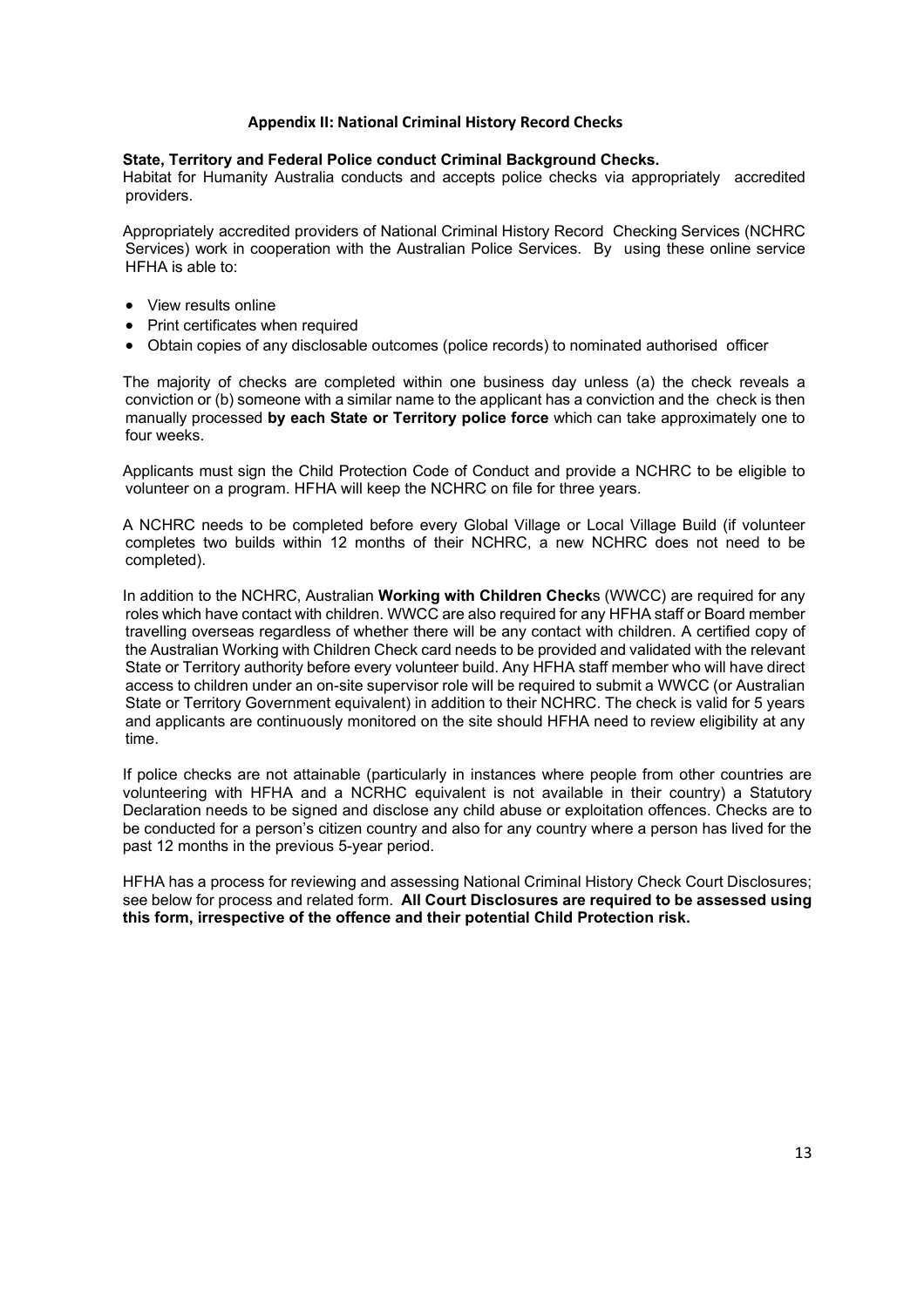### **Appendix II: National Criminal History Record Checks**

### <span id="page-12-0"></span>**State, Territory and Federal Police conduct Criminal Background Checks.**

Habitat for Humanity Australia conducts and accepts police checks via appropriately accredited providers.

Appropriately accredited providers of National Criminal History Record Checking Services (NCHRC Services) work in cooperation with the Australian Police Services. By using these online service HFHA is able to:

- View results online
- Print certificates when required
- Obtain copies of any disclosable outcomes (police records) to nominated authorised officer

The majority of checks are completed within one business day unless (a) the check reveals a conviction or (b) someone with a similar name to the applicant has a conviction and the check is then manually processed **by each State or Territory police force** which can take approximately one to four weeks.

Applicants must sign the Child Protection Code of Conduct and provide a NCHRC to be eligible to volunteer on a program. HFHA will keep the NCHRC on file for three years.

A NCHRC needs to be completed before every Global Village or Local Village Build (if volunteer completes two builds within 12 months of their NCHRC, a new NCHRC does not need to be completed).

In addition to the NCHRC, Australian **Working with Children Check**s (WWCC) are required for any roles which have contact with children. WWCC are also required for any HFHA staff or Board member travelling overseas regardless of whether there will be any contact with children. A certified copy of the Australian Working with Children Check card needs to be provided and validated with the relevant State or Territory authority before every volunteer build. Any HFHA staff member who will have direct access to children under an on-site supervisor role will be required to submit a WWCC (or Australian State or Territory Government equivalent) in addition to their NCHRC. The check is valid for 5 years and applicants are continuously monitored on the site should HFHA need to review eligibility at any time.

If police checks are not attainable (particularly in instances where people from other countries are volunteering with HFHA and a NCRHC equivalent is not available in their country) a Statutory Declaration needs to be signed and disclose any child abuse or exploitation offences. Checks are to be conducted for a person's citizen country and also for any country where a person has lived for the past 12 months in the previous 5-year period.

HFHA has a process for reviewing and assessing National Criminal History Check Court Disclosures; see below for process and related form. **All Court Disclosures are required to be assessed using this form, irrespective of the offence and their potential Child Protection risk.**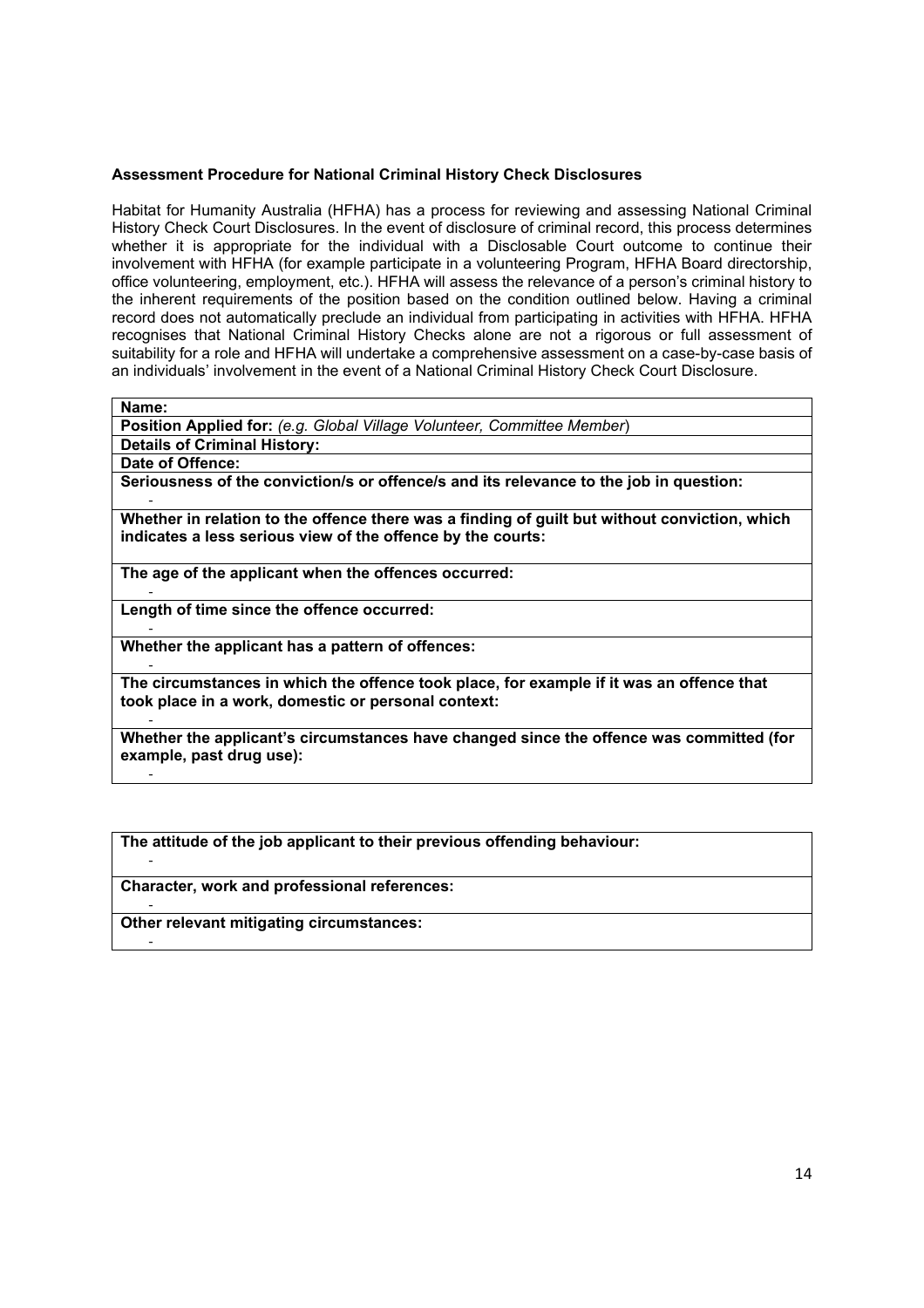### **Assessment Procedure for National Criminal History Check Disclosures**

Habitat for Humanity Australia (HFHA) has a process for reviewing and assessing National Criminal History Check Court Disclosures. In the event of disclosure of criminal record, this process determines whether it is appropriate for the individual with a Disclosable Court outcome to continue their involvement with HFHA (for example participate in a volunteering Program, HFHA Board directorship, office volunteering, employment, etc.). HFHA will assess the relevance of a person's criminal history to the inherent requirements of the position based on the condition outlined below. Having a criminal record does not automatically preclude an individual from participating in activities with HFHA. HFHA recognises that National Criminal History Checks alone are not a rigorous or full assessment of suitability for a role and HFHA will undertake a comprehensive assessment on a case-by-case basis of an individuals' involvement in the event of a National Criminal History Check Court Disclosure.

**Name:** 

-

-

-

-

-

**Position Applied for:** *(e.g. Global Village Volunteer, Committee Member*)

**Details of Criminal History:** 

**Date of Offence:** 

**Seriousness of the conviction/s or offence/s and its relevance to the job in question:** 

- **Whether in relation to the offence there was a finding of guilt but without conviction, which indicates a less serious view of the offence by the courts:**

**The age of the applicant when the offences occurred:** 

- **Length of time since the offence occurred:** 

**Whether the applicant has a pattern of offences:** 

- **The circumstances in which the offence took place, for example if it was an offence that took place in a work, domestic or personal context:**

- **Whether the applicant's circumstances have changed since the offence was committed (for example, past drug use):**

**The attitude of the job applicant to their previous offending behaviour:** 

**Character, work and professional references:** 

**Other relevant mitigating circumstances:**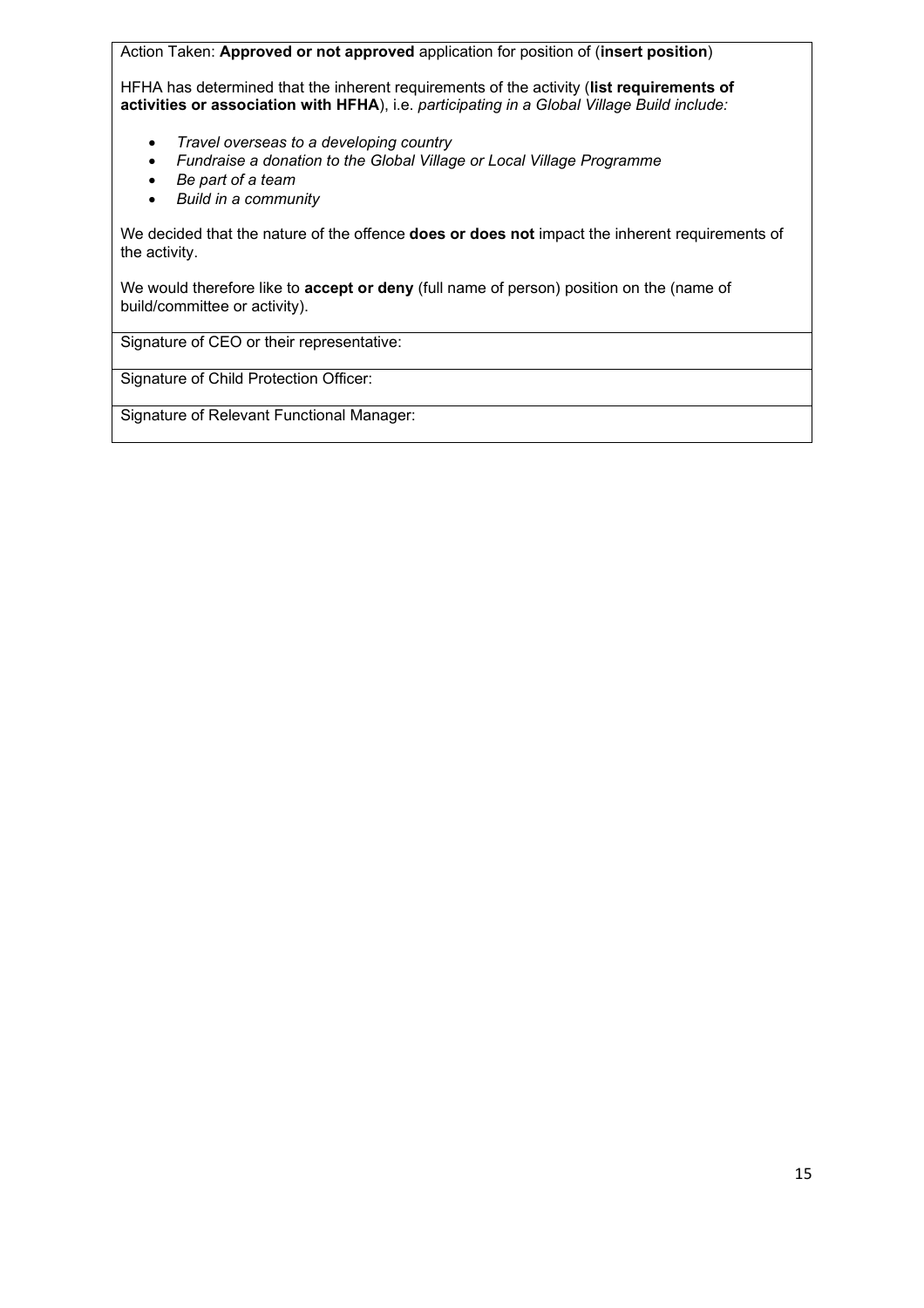Action Taken: **Approved or not approved** application for position of (**insert position**) HFHA has determined that the inherent requirements of the activity (**list requirements of activities or association with HFHA**), i.e. *participating in a Global Village Build include:*

- *Travel overseas to a developing country*
- *Fundraise a donation to the Global Village or Local Village Programme*
- *Be part of a team*
- *Build in a community*

We decided that the nature of the offence **does or does not** impact the inherent requirements of the activity.

We would therefore like to **accept or deny** (full name of person) position on the (name of build/committee or activity).

Signature of CEO or their representative:

Signature of Child Protection Officer:

Signature of Relevant Functional Manager: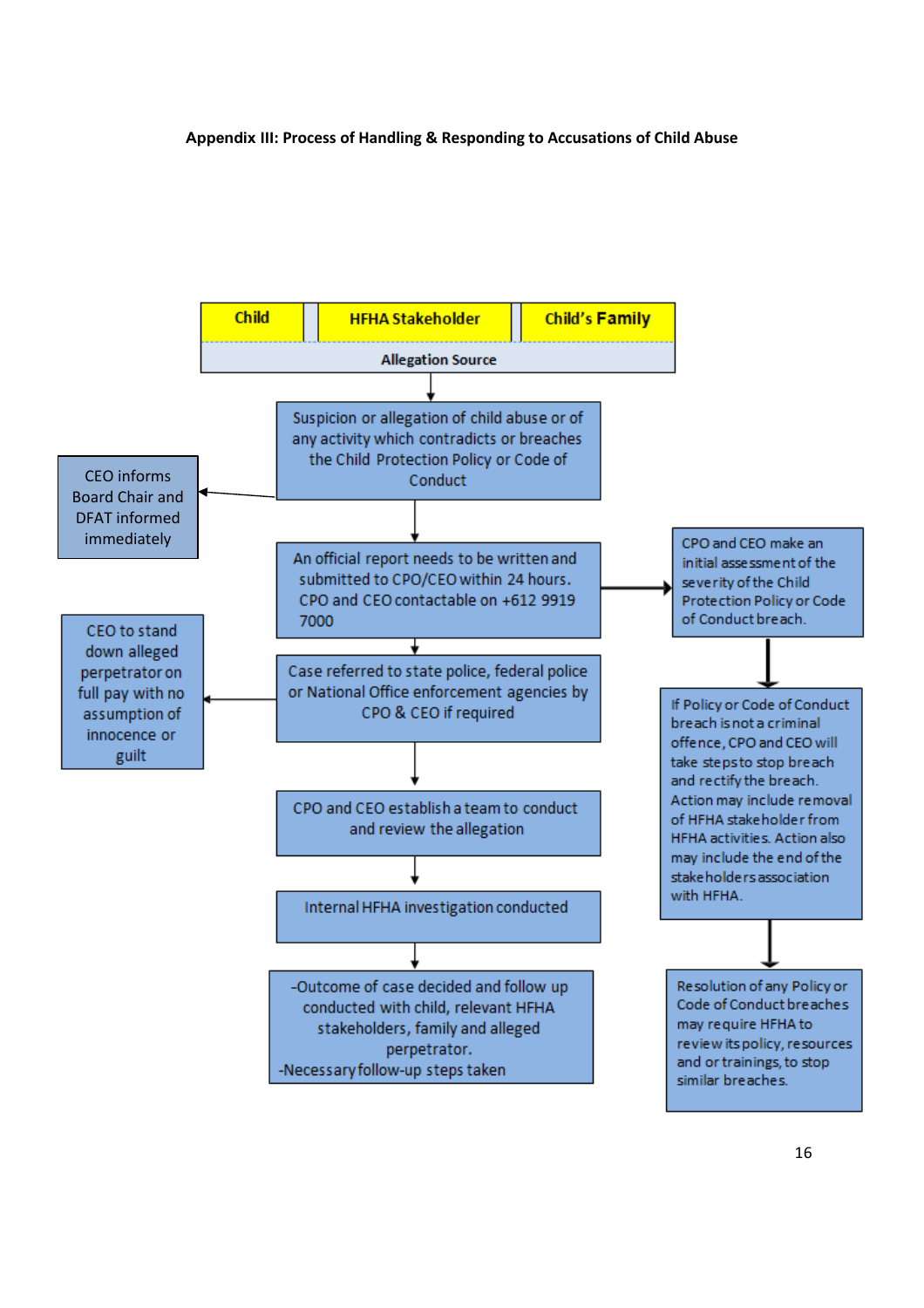### <span id="page-15-0"></span>**Appendix III: Process of Handling & Responding to Accusations of Child Abuse**

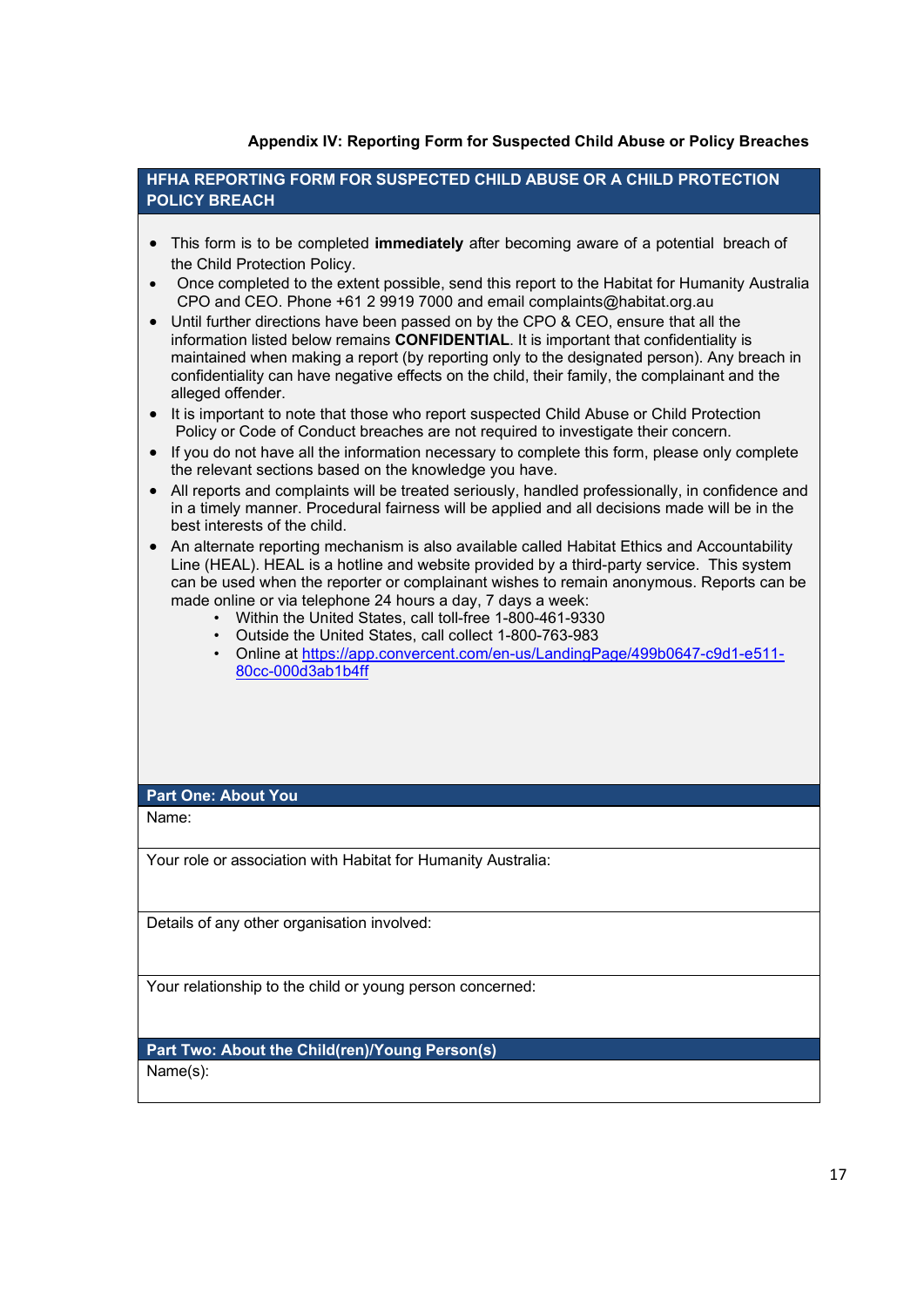## **Appendix IV: Reporting Form for Suspected Child Abuse or Policy Breaches**

<span id="page-16-0"></span>**HFHA REPORTING FORM FOR SUSPECTED CHILD ABUSE OR A CHILD PROTECTION POLICY BREACH**

- This form is to be completed **immediately** after becoming aware of a potential breach of the Child Protection Policy.
- Once completed to the extent possible, send this report to the Habitat for Humanity Australia CPO and CEO. Phone +61 2 9919 7000 and email complaints@habitat.org.au
- Until further directions have been passed on by the CPO & CEO, ensure that all the information listed below remains **CONFIDENTIAL**. It is important that confidentiality is maintained when making a report (by reporting only to the designated person). Any breach in confidentiality can have negative effects on the child, their family, the complainant and the alleged offender.
- It is important to note that those who report suspected Child Abuse or Child Protection Policy or Code of Conduct breaches are not required to investigate their concern.
- If you do not have all the information necessary to complete this form, please only complete the relevant sections based on the knowledge you have.
- All reports and complaints will be treated seriously, handled professionally, in confidence and in a timely manner. Procedural fairness will be applied and all decisions made will be in the best interests of the child.
- An alternate reporting mechanism is also available called Habitat Ethics and Accountability Line (HEAL). HEAL is a hotline and website provided by a third-party service. This system can be used when the reporter or complainant wishes to remain anonymous. Reports can be made online or via telephone 24 hours a day, 7 days a week:
	- Within the United States, call toll-free 1-800-461-9330
	- Outside the United States, call collect 1-800-763-983
	- Online at [https://app.convercent.com/en-us/LandingPage/499b0647-c9d1-e511-](https://app.convercent.com/en-us/LandingPage/499b0647-c9d1-e511-80cc-000d3ab1b4ff) [80cc-000d3ab1b4ff](https://app.convercent.com/en-us/LandingPage/499b0647-c9d1-e511-80cc-000d3ab1b4ff)

## **Part One: About You**

Name:

Your role or association with Habitat for Humanity Australia:

Details of any other organisation involved:

Your relationship to the child or young person concerned:

**Part Two: About the Child(ren)/Young Person(s)**

Name(s):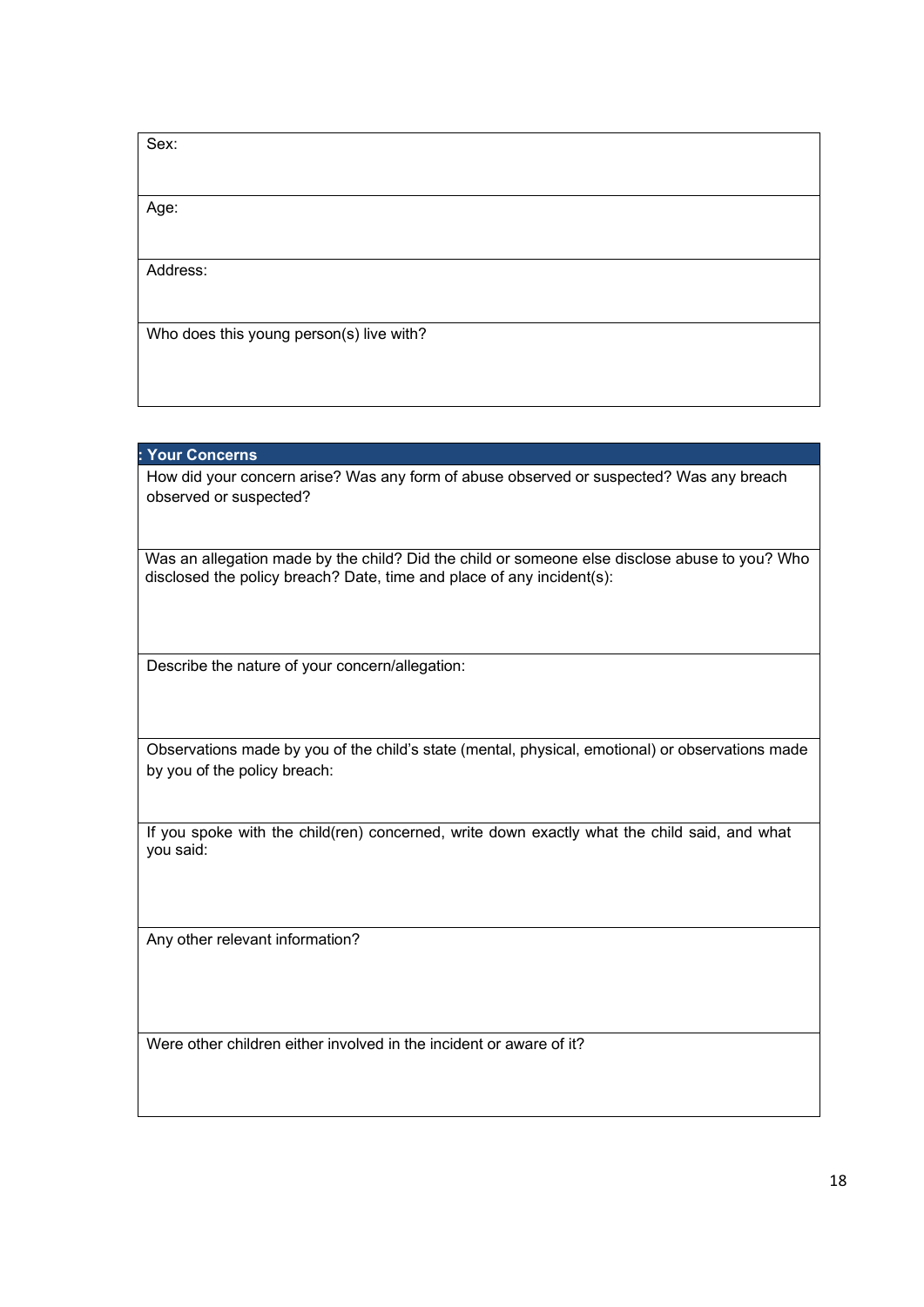| Sex:                                     |  |
|------------------------------------------|--|
|                                          |  |
| Age:                                     |  |
|                                          |  |
| Address:                                 |  |
|                                          |  |
| Who does this young person(s) live with? |  |
|                                          |  |

## **: Your Concerns**

How did your concern arise? Was any form of abuse observed or suspected? Was any breach observed or suspected?

Was an allegation made by the child? Did the child or someone else disclose abuse to you? Who disclosed the policy breach? Date, time and place of any incident(s):

Describe the nature of your concern/allegation:

Observations made by you of the child's state (mental, physical, emotional) or observations made by you of the policy breach:

If you spoke with the child(ren) concerned, write down exactly what the child said, and what you said:

Any other relevant information?

Were other children either involved in the incident or aware of it?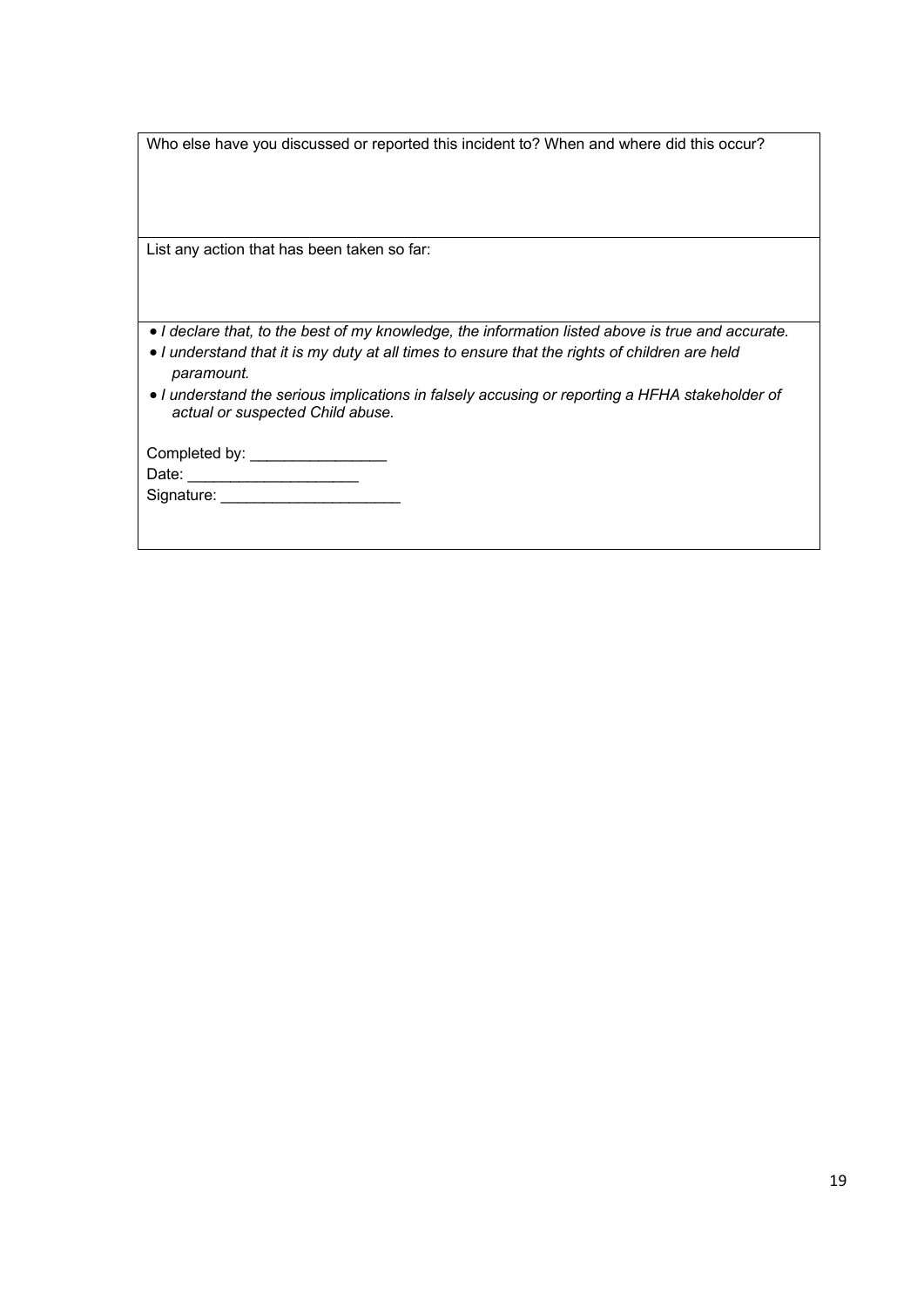|  | Who else have you discussed or reported this incident to? When and where did this occur? |  |
|--|------------------------------------------------------------------------------------------|--|
|  |                                                                                          |  |

List any action that has been taken so far:

- *I declare that, to the best of my knowledge, the information listed above is true and accurate.*
- *I understand that it is my duty at all times to ensure that the rights of children are held paramount.*
- *I understand the serious implications in falsely accusing or reporting a HFHA stakeholder of actual or suspected Child abuse.*

| Completed by: |  |
|---------------|--|
| Date:         |  |
| Signature:    |  |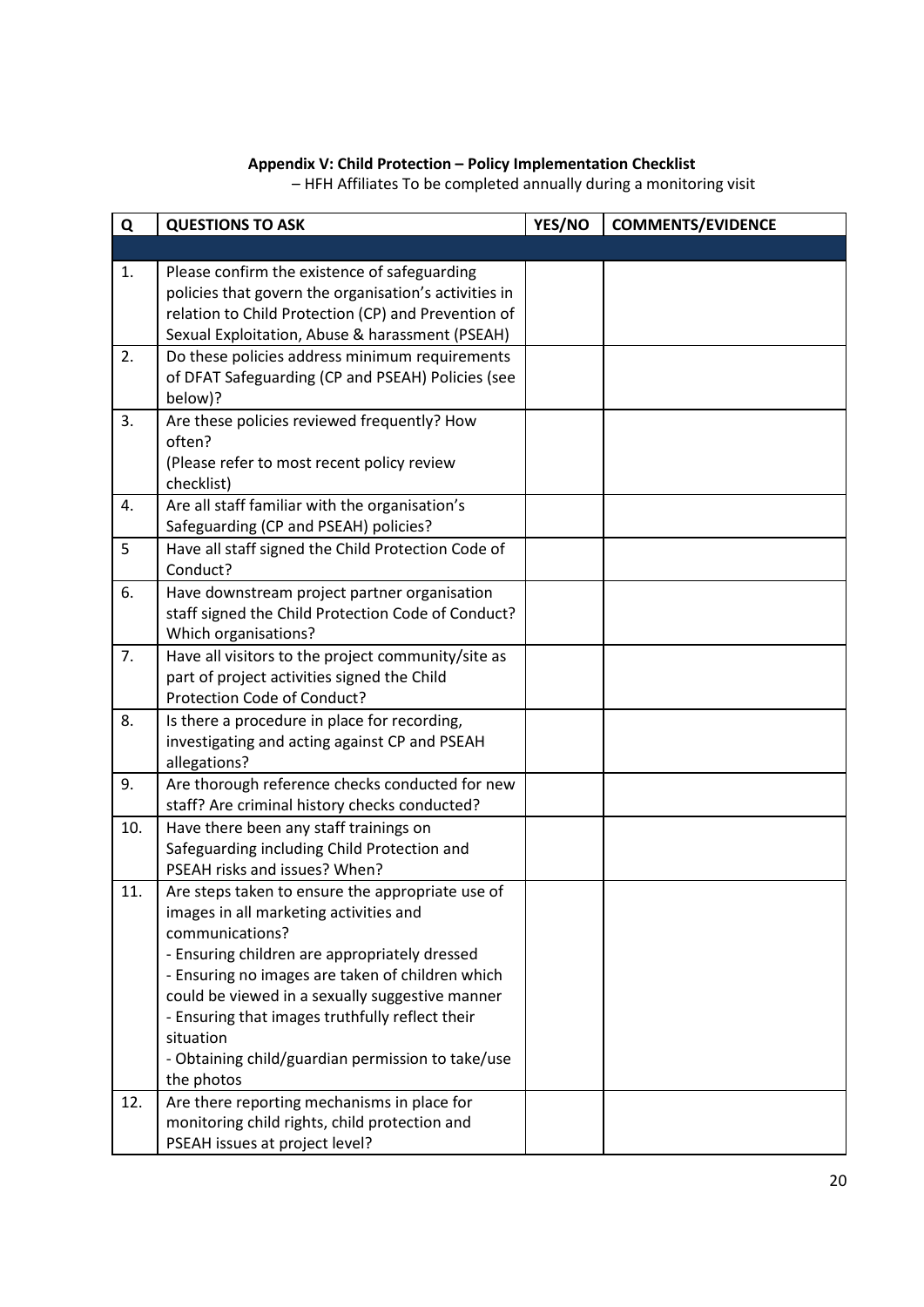### **Appendix V: Child Protection – Policy Implementation Checklist**

<span id="page-19-0"></span>**Q QUESTIONS TO ASK YES/NO COMMENTS/EVIDENCE** 1. Please confirm the existence of safeguarding policies that govern the organisation's activities in relation to Child Protection (CP) and Prevention of Sexual Exploitation, Abuse & harassment (PSEAH) 2. Do these policies address minimum requirements of DFAT Safeguarding (CP and PSEAH) Policies (see below)? 3. Are these policies reviewed frequently? How often? (Please refer to most recent policy review checklist) 4. Are all staff familiar with the organisation's Safeguarding (CP and PSEAH) policies? 5 Have all staff signed the Child Protection Code of Conduct? 6. Have downstream project partner organisation staff signed the Child Protection Code of Conduct? Which organisations? 7. Have all visitors to the project community/site as part of project activities signed the Child Protection Code of Conduct? 8. Is there a procedure in place for recording, investigating and acting against CP and PSEAH allegations? 9. Are thorough reference checks conducted for new staff? Are criminal history checks conducted? 10. Have there been any staff trainings on Safeguarding including Child Protection and PSEAH risks and issues? When? 11. Are steps taken to ensure the appropriate use of images in all marketing activities and communications? - Ensuring children are appropriately dressed - Ensuring no images are taken of children which could be viewed in a sexually suggestive manner - Ensuring that images truthfully reflect their situation - Obtaining child/guardian permission to take/use the photos 12. Are there reporting mechanisms in place for monitoring child rights, child protection and PSEAH issues at project level?

– HFH Affiliates To be completed annually during a monitoring visit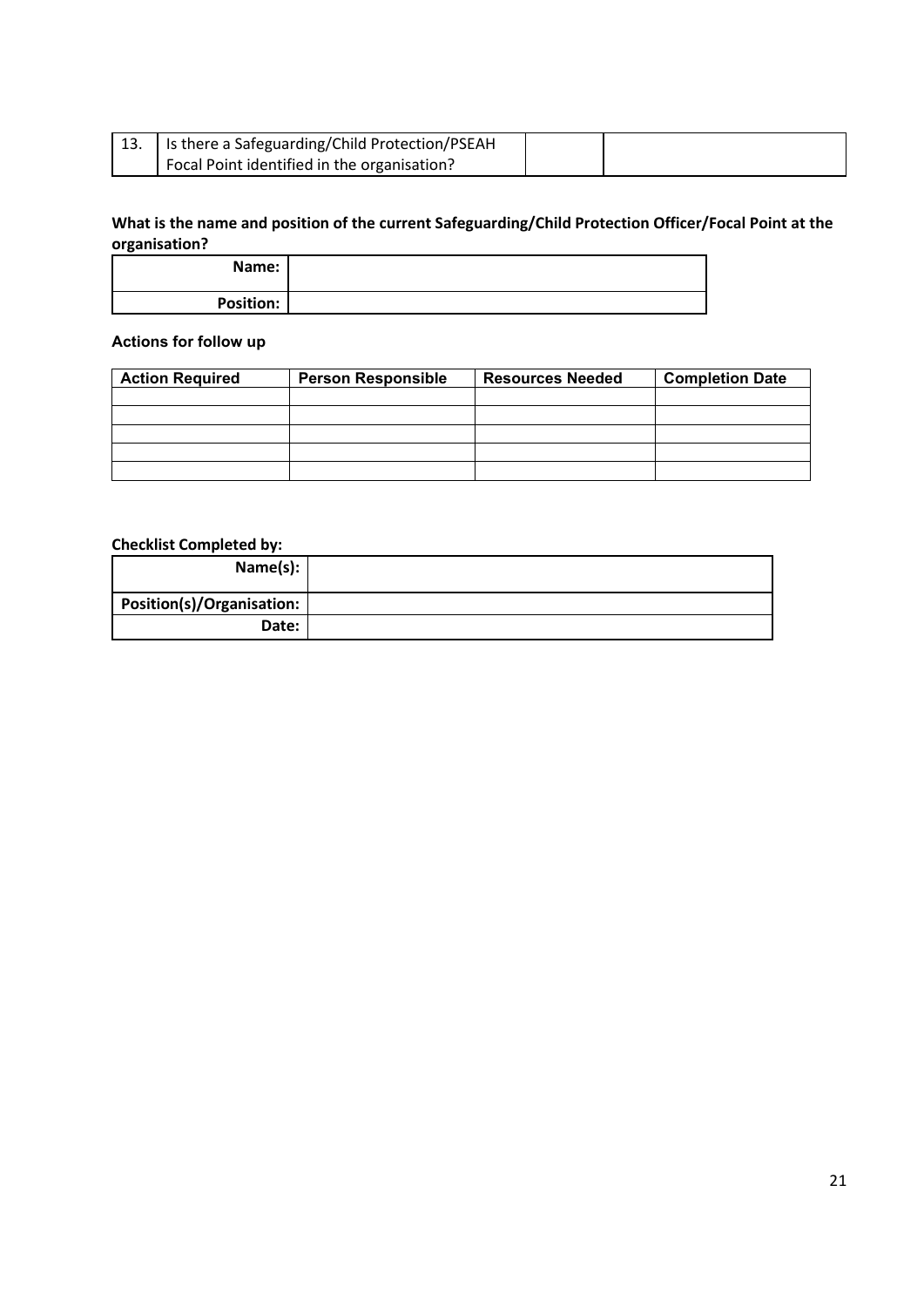| 13. | Is there a Safeguarding/Child Protection/PSEAH |  |
|-----|------------------------------------------------|--|
|     | Focal Point identified in the organisation?    |  |

# **What is the name and position of the current Safeguarding/Child Protection Officer/Focal Point at the organisation?**

| Name:            |  |
|------------------|--|
| <b>Position:</b> |  |

# **Actions for follow up**

| <b>Action Required</b> | <b>Person Responsible</b> | <b>Resources Needed</b> | <b>Completion Date</b> |
|------------------------|---------------------------|-------------------------|------------------------|
|                        |                           |                         |                        |
|                        |                           |                         |                        |
|                        |                           |                         |                        |
|                        |                           |                         |                        |
|                        |                           |                         |                        |

# **Checklist Completed by:**

| Name(s):                  |  |
|---------------------------|--|
| Position(s)/Organisation: |  |
| Date:                     |  |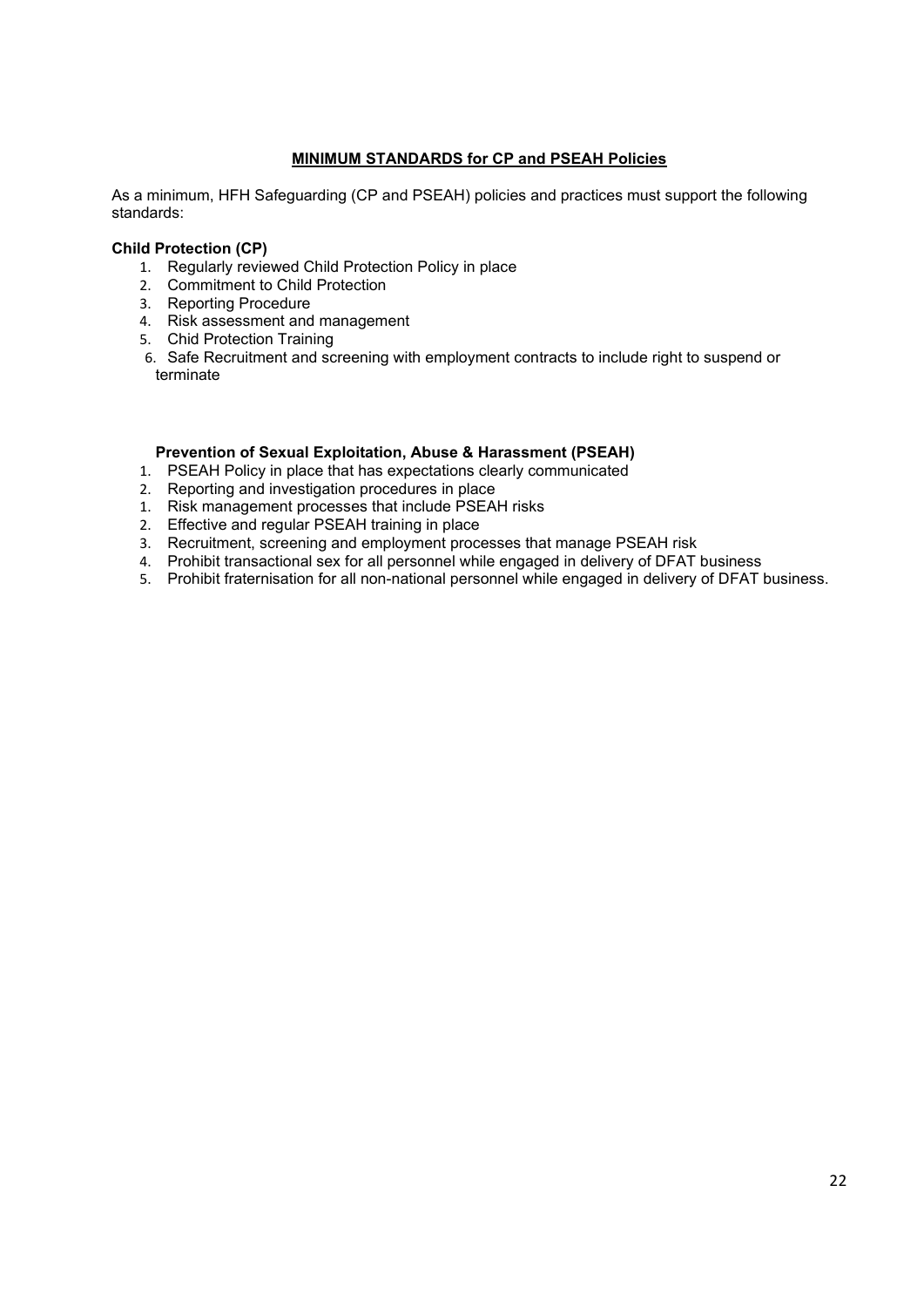## **MINIMUM STANDARDS for CP and PSEAH Policies**

As a minimum, HFH Safeguarding (CP and PSEAH) policies and practices must support the following standards:

### **Child Protection (CP)**

- 1. Regularly reviewed Child Protection Policy in place
- 2. Commitment to Child Protection
- 3. Reporting Procedure
- 4. Risk assessment and management
- 5. Chid Protection Training
- 6. Safe Recruitment and screening with employment contracts to include right to suspend or terminate

### **Prevention of Sexual Exploitation, Abuse & Harassment (PSEAH)**

- 1. PSEAH Policy in place that has expectations clearly communicated
- 2. Reporting and investigation procedures in place
- 1. Risk management processes that include PSEAH risks
- 2. Effective and regular PSEAH training in place
- 3. Recruitment, screening and employment processes that manage PSEAH risk
- 4. Prohibit transactional sex for all personnel while engaged in delivery of DFAT business
- 5. Prohibit fraternisation for all non-national personnel while engaged in delivery of DFAT business.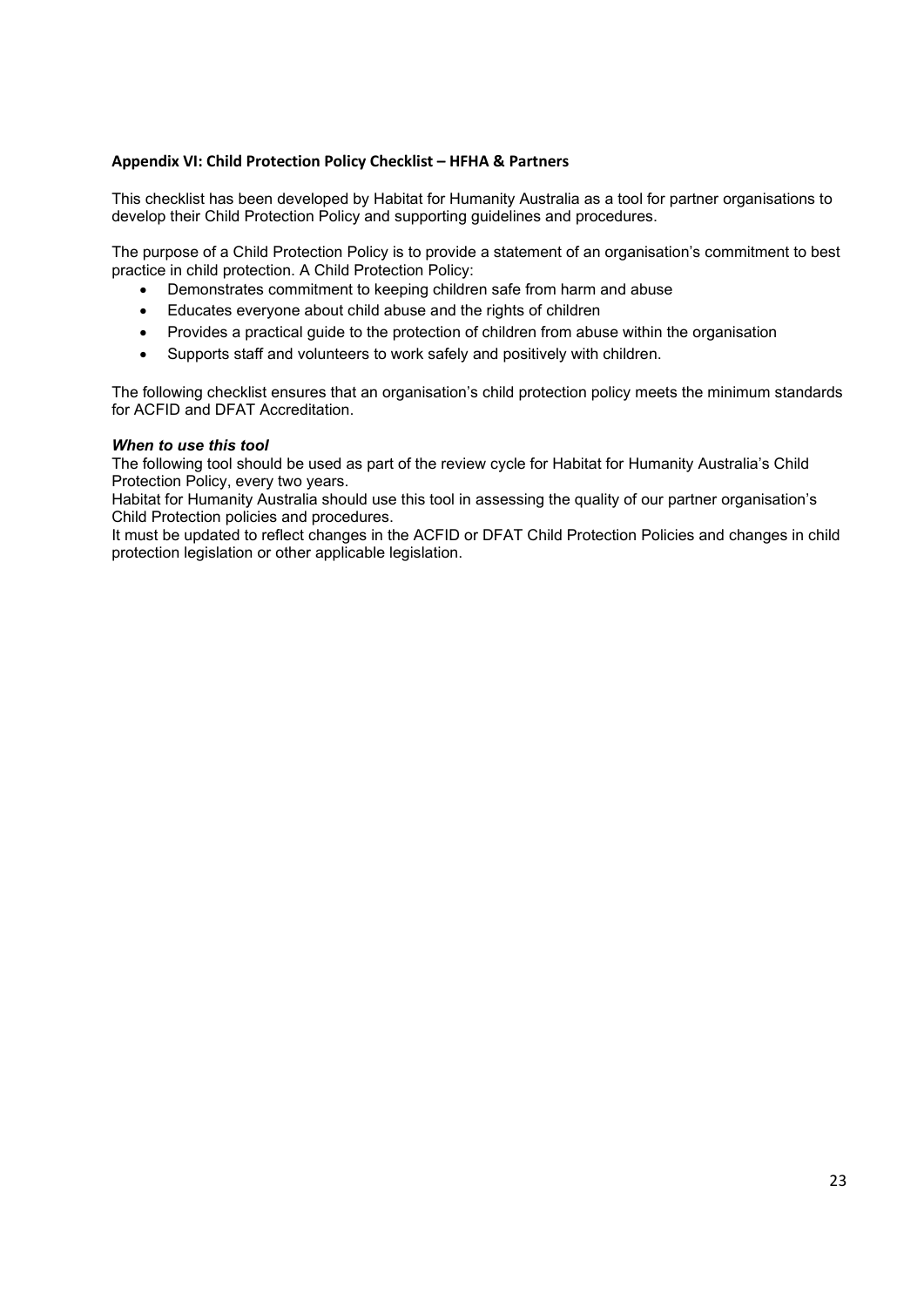### <span id="page-22-0"></span>**Appendix VI: Child Protection Policy Checklist – HFHA & Partners**

This checklist has been developed by Habitat for Humanity Australia as a tool for partner organisations to develop their Child Protection Policy and supporting guidelines and procedures.

The purpose of a Child Protection Policy is to provide a statement of an organisation's commitment to best practice in child protection. A Child Protection Policy:

- Demonstrates commitment to keeping children safe from harm and abuse
- Educates everyone about child abuse and the rights of children
- Provides a practical guide to the protection of children from abuse within the organisation
- Supports staff and volunteers to work safely and positively with children.

The following checklist ensures that an organisation's child protection policy meets the minimum standards for ACFID and DFAT Accreditation.

### *When to use this tool*

The following tool should be used as part of the review cycle for Habitat for Humanity Australia's Child Protection Policy, every two years.

Habitat for Humanity Australia should use this tool in assessing the quality of our partner organisation's Child Protection policies and procedures.

It must be updated to reflect changes in the ACFID or DFAT Child Protection Policies and changes in child protection legislation or other applicable legislation.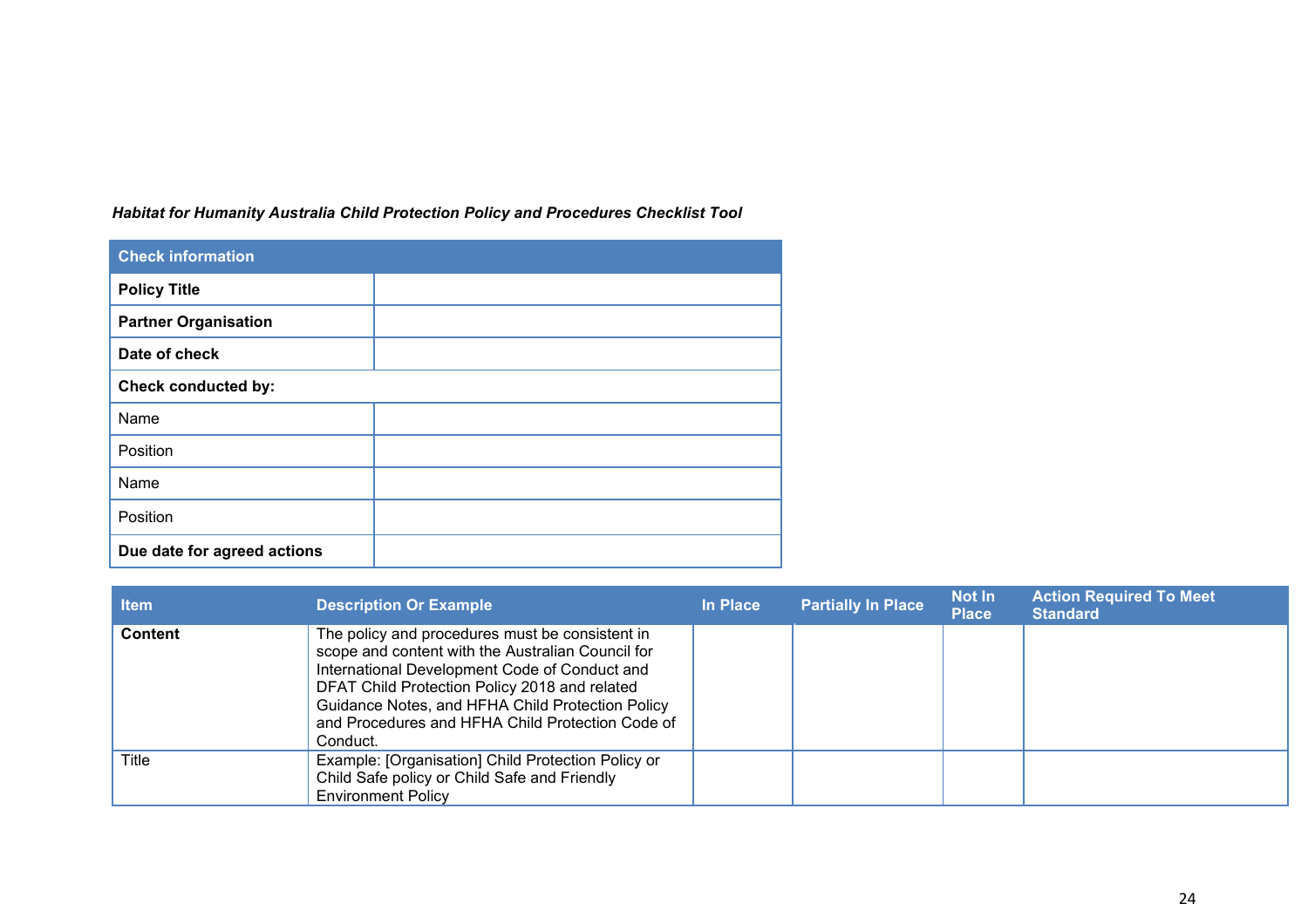*Habitat for Humanity Australia Child Protection Policy and Procedures Checklist Tool*

| <b>Check information</b>    |  |  |
|-----------------------------|--|--|
| <b>Policy Title</b>         |  |  |
| <b>Partner Organisation</b> |  |  |
| Date of check               |  |  |
| <b>Check conducted by:</b>  |  |  |
| Name                        |  |  |
| Position                    |  |  |
| Name                        |  |  |
| Position                    |  |  |
| Due date for agreed actions |  |  |

| <b>Item</b>    | <b>Description Or Example</b>                                                                                                                                                                                                                                                                                              | In Place | <b>Partially In Place</b> | <b>Not In</b><br><b>Place</b> | <b>Action Required To Meet</b><br><b>Standard</b> |
|----------------|----------------------------------------------------------------------------------------------------------------------------------------------------------------------------------------------------------------------------------------------------------------------------------------------------------------------------|----------|---------------------------|-------------------------------|---------------------------------------------------|
| <b>Content</b> | The policy and procedures must be consistent in<br>scope and content with the Australian Council for<br>International Development Code of Conduct and<br>DFAT Child Protection Policy 2018 and related<br>Guidance Notes, and HFHA Child Protection Policy<br>and Procedures and HFHA Child Protection Code of<br>Conduct. |          |                           |                               |                                                   |
| Title          | Example: [Organisation] Child Protection Policy or<br>Child Safe policy or Child Safe and Friendly<br><b>Environment Policy</b>                                                                                                                                                                                            |          |                           |                               |                                                   |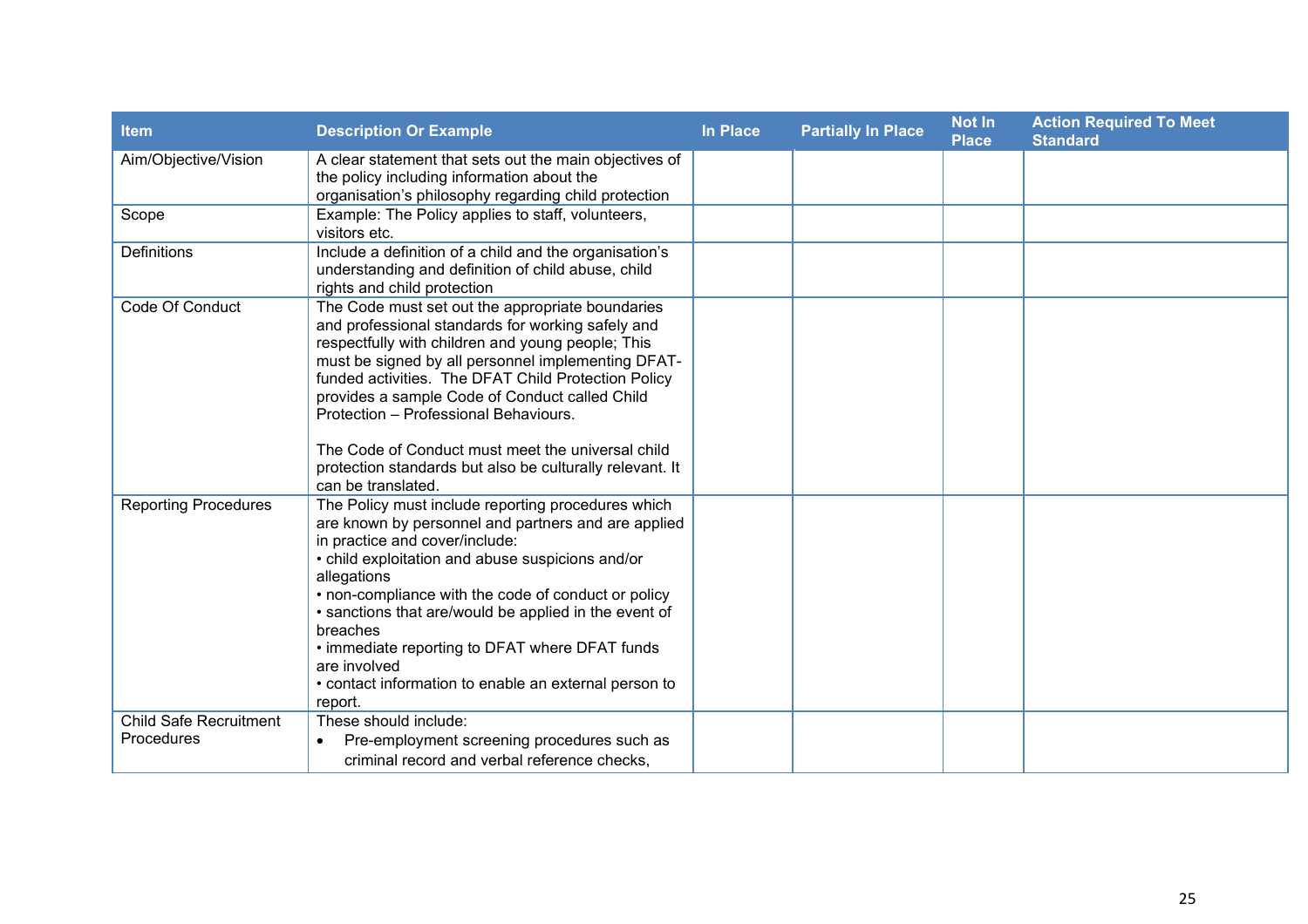| Item                                               | <b>Description Or Example</b>                                                                                                                                                                                                                                                                                                                                                                                                                                                                             | <b>In Place</b> | <b>Partially In Place</b> | <b>Not In</b><br><b>Place</b> | <b>Action Required To Meet</b><br><b>Standard</b> |
|----------------------------------------------------|-----------------------------------------------------------------------------------------------------------------------------------------------------------------------------------------------------------------------------------------------------------------------------------------------------------------------------------------------------------------------------------------------------------------------------------------------------------------------------------------------------------|-----------------|---------------------------|-------------------------------|---------------------------------------------------|
| Aim/Objective/Vision                               | A clear statement that sets out the main objectives of<br>the policy including information about the<br>organisation's philosophy regarding child protection                                                                                                                                                                                                                                                                                                                                              |                 |                           |                               |                                                   |
| Scope                                              | Example: The Policy applies to staff, volunteers,<br>visitors etc.                                                                                                                                                                                                                                                                                                                                                                                                                                        |                 |                           |                               |                                                   |
| <b>Definitions</b>                                 | Include a definition of a child and the organisation's<br>understanding and definition of child abuse, child<br>rights and child protection                                                                                                                                                                                                                                                                                                                                                               |                 |                           |                               |                                                   |
| Code Of Conduct                                    | The Code must set out the appropriate boundaries<br>and professional standards for working safely and<br>respectfully with children and young people; This<br>must be signed by all personnel implementing DFAT-<br>funded activities. The DFAT Child Protection Policy<br>provides a sample Code of Conduct called Child<br>Protection - Professional Behaviours.<br>The Code of Conduct must meet the universal child<br>protection standards but also be culturally relevant. It<br>can be translated. |                 |                           |                               |                                                   |
| <b>Reporting Procedures</b>                        | The Policy must include reporting procedures which<br>are known by personnel and partners and are applied<br>in practice and cover/include:<br>• child exploitation and abuse suspicions and/or<br>allegations<br>• non-compliance with the code of conduct or policy<br>• sanctions that are/would be applied in the event of<br>breaches<br>• immediate reporting to DFAT where DFAT funds<br>are involved<br>• contact information to enable an external person to<br>report.                          |                 |                           |                               |                                                   |
| <b>Child Safe Recruitment</b><br><b>Procedures</b> | These should include:<br>Pre-employment screening procedures such as<br>criminal record and verbal reference checks,                                                                                                                                                                                                                                                                                                                                                                                      |                 |                           |                               |                                                   |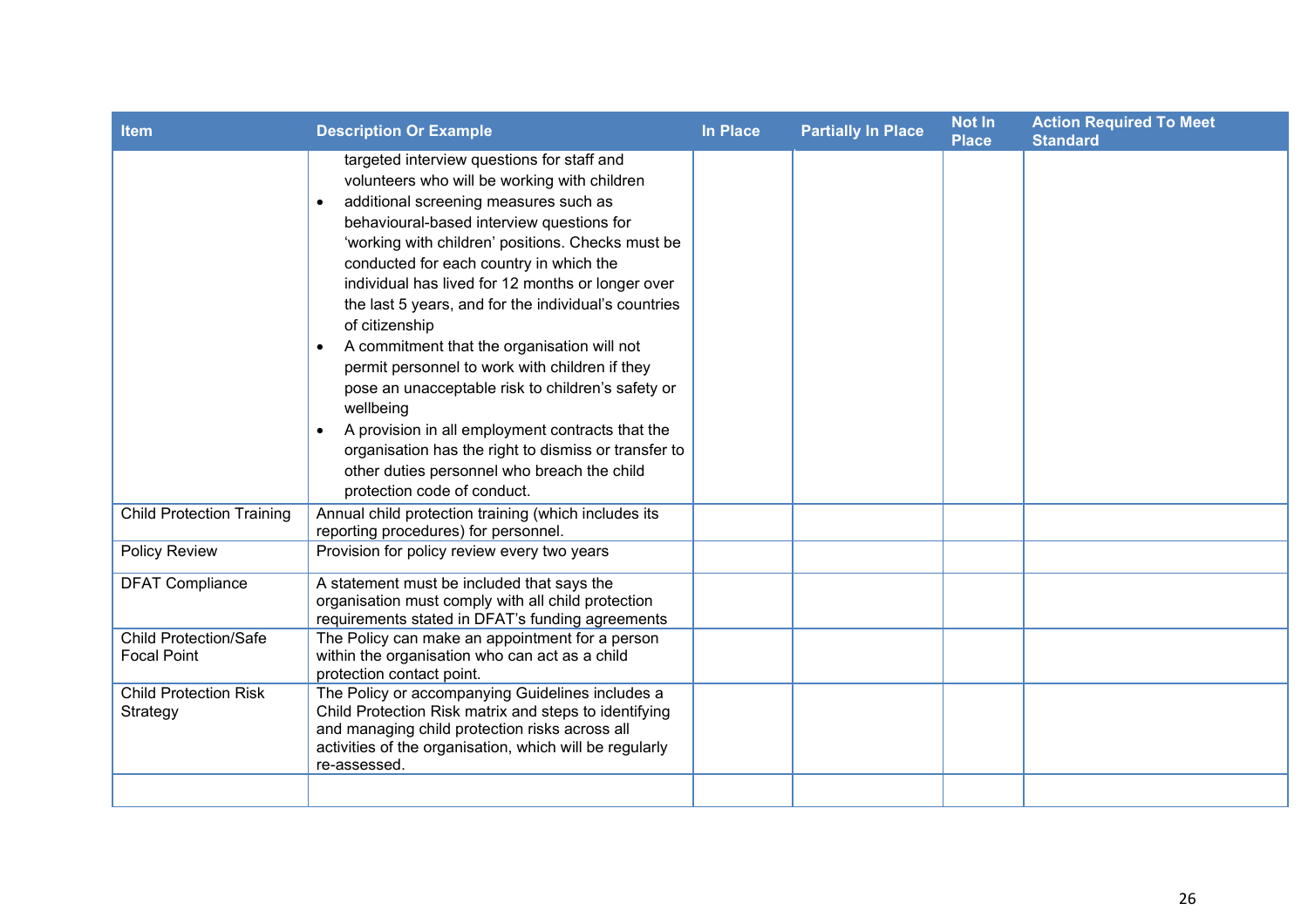| <b>Item</b>                                        | <b>Description Or Example</b>                                                                                                                                                                                                                                                                                                                                                                                                                                                                                                                                                                                                                                                                                                                                                                          | In Place | <b>Partially In Place</b> | <b>Not In</b><br><b>Place</b> | <b>Action Required To Meet</b><br><b>Standard</b> |
|----------------------------------------------------|--------------------------------------------------------------------------------------------------------------------------------------------------------------------------------------------------------------------------------------------------------------------------------------------------------------------------------------------------------------------------------------------------------------------------------------------------------------------------------------------------------------------------------------------------------------------------------------------------------------------------------------------------------------------------------------------------------------------------------------------------------------------------------------------------------|----------|---------------------------|-------------------------------|---------------------------------------------------|
|                                                    | targeted interview questions for staff and<br>volunteers who will be working with children<br>additional screening measures such as<br>behavioural-based interview questions for<br>'working with children' positions. Checks must be<br>conducted for each country in which the<br>individual has lived for 12 months or longer over<br>the last 5 years, and for the individual's countries<br>of citizenship<br>A commitment that the organisation will not<br>$\bullet$<br>permit personnel to work with children if they<br>pose an unacceptable risk to children's safety or<br>wellbeing<br>A provision in all employment contracts that the<br>$\bullet$<br>organisation has the right to dismiss or transfer to<br>other duties personnel who breach the child<br>protection code of conduct. |          |                           |                               |                                                   |
| <b>Child Protection Training</b>                   | Annual child protection training (which includes its<br>reporting procedures) for personnel.                                                                                                                                                                                                                                                                                                                                                                                                                                                                                                                                                                                                                                                                                                           |          |                           |                               |                                                   |
| Policy Review                                      | Provision for policy review every two years                                                                                                                                                                                                                                                                                                                                                                                                                                                                                                                                                                                                                                                                                                                                                            |          |                           |                               |                                                   |
| <b>DFAT Compliance</b>                             | A statement must be included that says the<br>organisation must comply with all child protection<br>requirements stated in DFAT's funding agreements                                                                                                                                                                                                                                                                                                                                                                                                                                                                                                                                                                                                                                                   |          |                           |                               |                                                   |
| <b>Child Protection/Safe</b><br><b>Focal Point</b> | The Policy can make an appointment for a person<br>within the organisation who can act as a child<br>protection contact point.                                                                                                                                                                                                                                                                                                                                                                                                                                                                                                                                                                                                                                                                         |          |                           |                               |                                                   |
| <b>Child Protection Risk</b><br>Strategy           | The Policy or accompanying Guidelines includes a<br>Child Protection Risk matrix and steps to identifying<br>and managing child protection risks across all<br>activities of the organisation, which will be regularly<br>re-assessed.                                                                                                                                                                                                                                                                                                                                                                                                                                                                                                                                                                 |          |                           |                               |                                                   |
|                                                    |                                                                                                                                                                                                                                                                                                                                                                                                                                                                                                                                                                                                                                                                                                                                                                                                        |          |                           |                               |                                                   |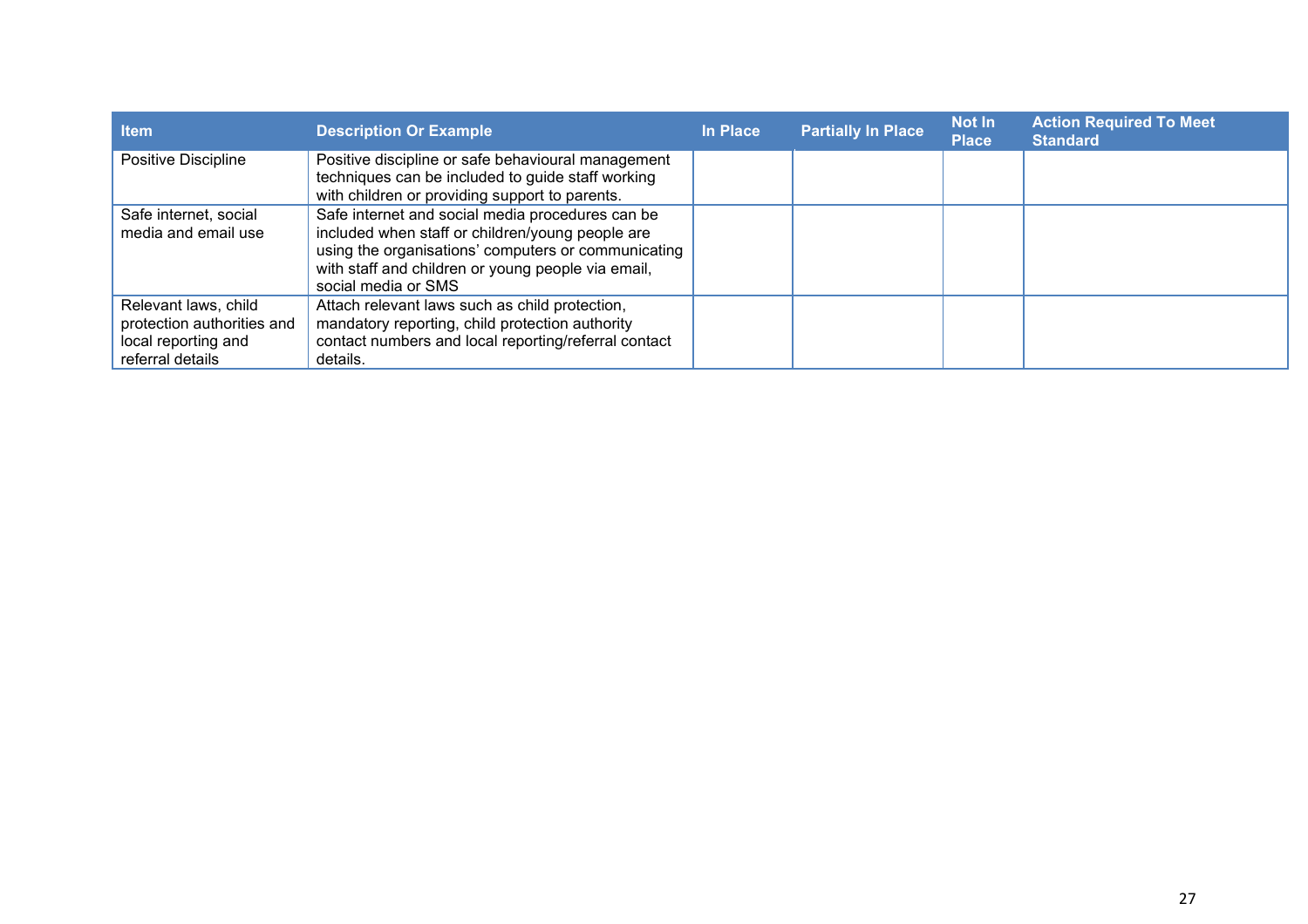| <b>Item</b>                                                                                   | <b>Description Or Example</b>                                                                                                                                                                                                            | In Place | <b>Partially In Place</b> | <b>Not In</b><br><b>Place</b> | <b>Action Required To Meet</b><br><b>Standard</b> |
|-----------------------------------------------------------------------------------------------|------------------------------------------------------------------------------------------------------------------------------------------------------------------------------------------------------------------------------------------|----------|---------------------------|-------------------------------|---------------------------------------------------|
| Positive Discipline                                                                           | Positive discipline or safe behavioural management<br>techniques can be included to guide staff working<br>with children or providing support to parents.                                                                                |          |                           |                               |                                                   |
| Safe internet, social<br>media and email use                                                  | Safe internet and social media procedures can be<br>included when staff or children/young people are<br>using the organisations' computers or communicating<br>with staff and children or young people via email,<br>social media or SMS |          |                           |                               |                                                   |
| Relevant laws, child<br>protection authorities and<br>local reporting and<br>referral details | Attach relevant laws such as child protection,<br>mandatory reporting, child protection authority<br>contact numbers and local reporting/referral contact<br>details.                                                                    |          |                           |                               |                                                   |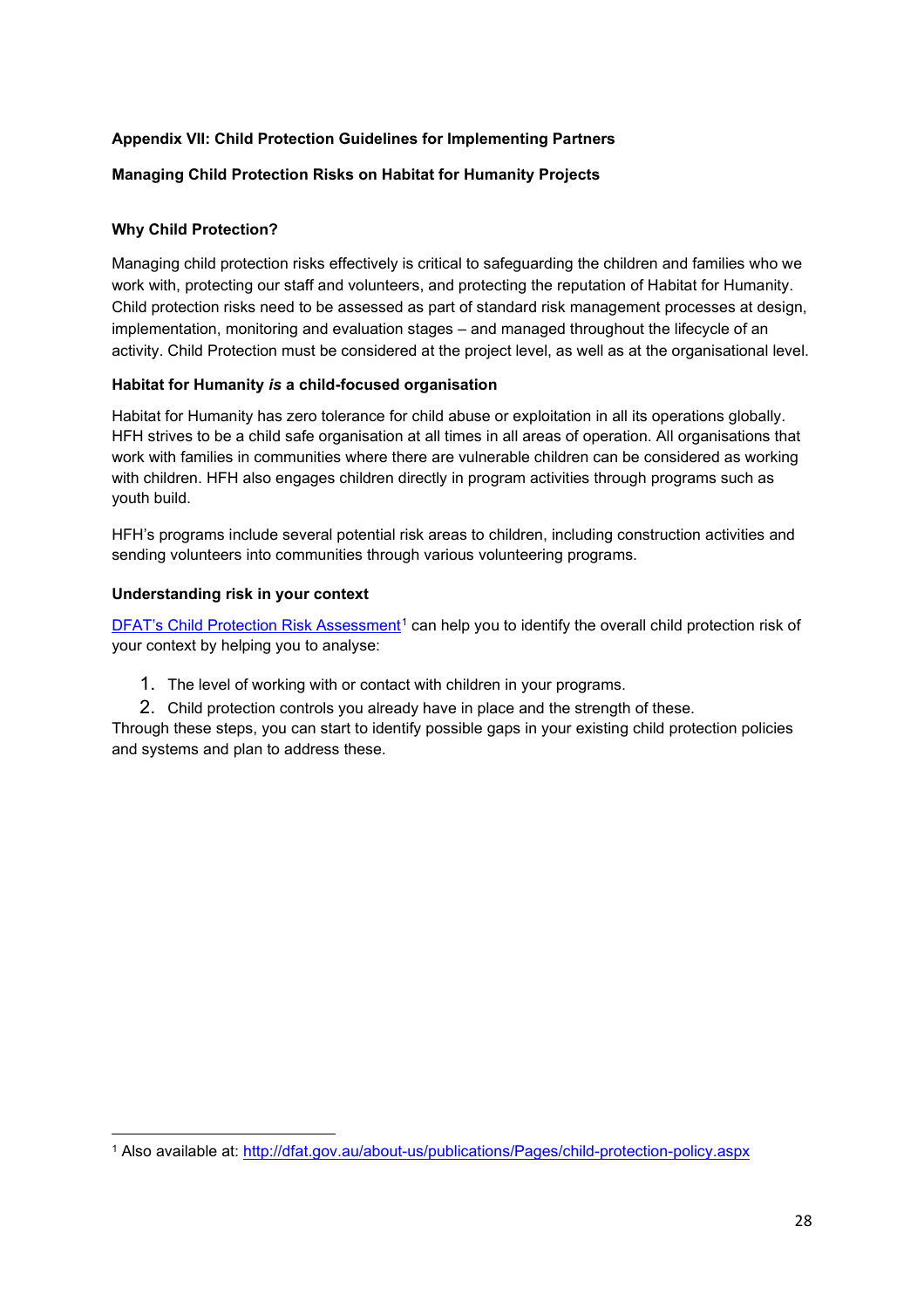# <span id="page-27-0"></span>**Appendix VII: Child Protection Guidelines for Implementing Partners**

### **Managing Child Protection Risks on Habitat for Humanity Projects**

### **Why Child Protection?**

Managing child protection risks effectively is critical to safeguarding the children and families who we work with, protecting our staff and volunteers, and protecting the reputation of Habitat for Humanity. Child protection risks need to be assessed as part of standard risk management processes at design, implementation, monitoring and evaluation stages – and managed throughout the lifecycle of an activity. Child Protection must be considered at the project level, as well as at the organisational level.

### **Habitat for Humanity** *is* **a child-focused organisation**

Habitat for Humanity has zero tolerance for child abuse or exploitation in all its operations globally. HFH strives to be a child safe organisation at all times in all areas of operation. All organisations that work with families in communities where there are vulnerable children can be considered as working with children. HFH also engages children directly in program activities through programs such as youth build.

HFH's programs include several potential risk areas to children, including construction activities and sending volunteers into communities through various volunteering programs.

### **Understanding risk in your context**

[DFAT's Child Protection Risk Assessment](https://www.dfat.gov.au/sites/default/files/child-protection-risk-assessment-guidance.pdf)<sup>[1](#page-27-1)</sup> can help you to identify the overall child protection risk of your context by helping you to analyse:

- 1. The level of working with or contact with children in your programs.
- 2. Child protection controls you already have in place and the strength of these.

Through these steps, you can start to identify possible gaps in your existing child protection policies and systems and plan to address these.

<span id="page-27-1"></span><sup>1</sup> Also available at:<http://dfat.gov.au/about-us/publications/Pages/child-protection-policy.aspx>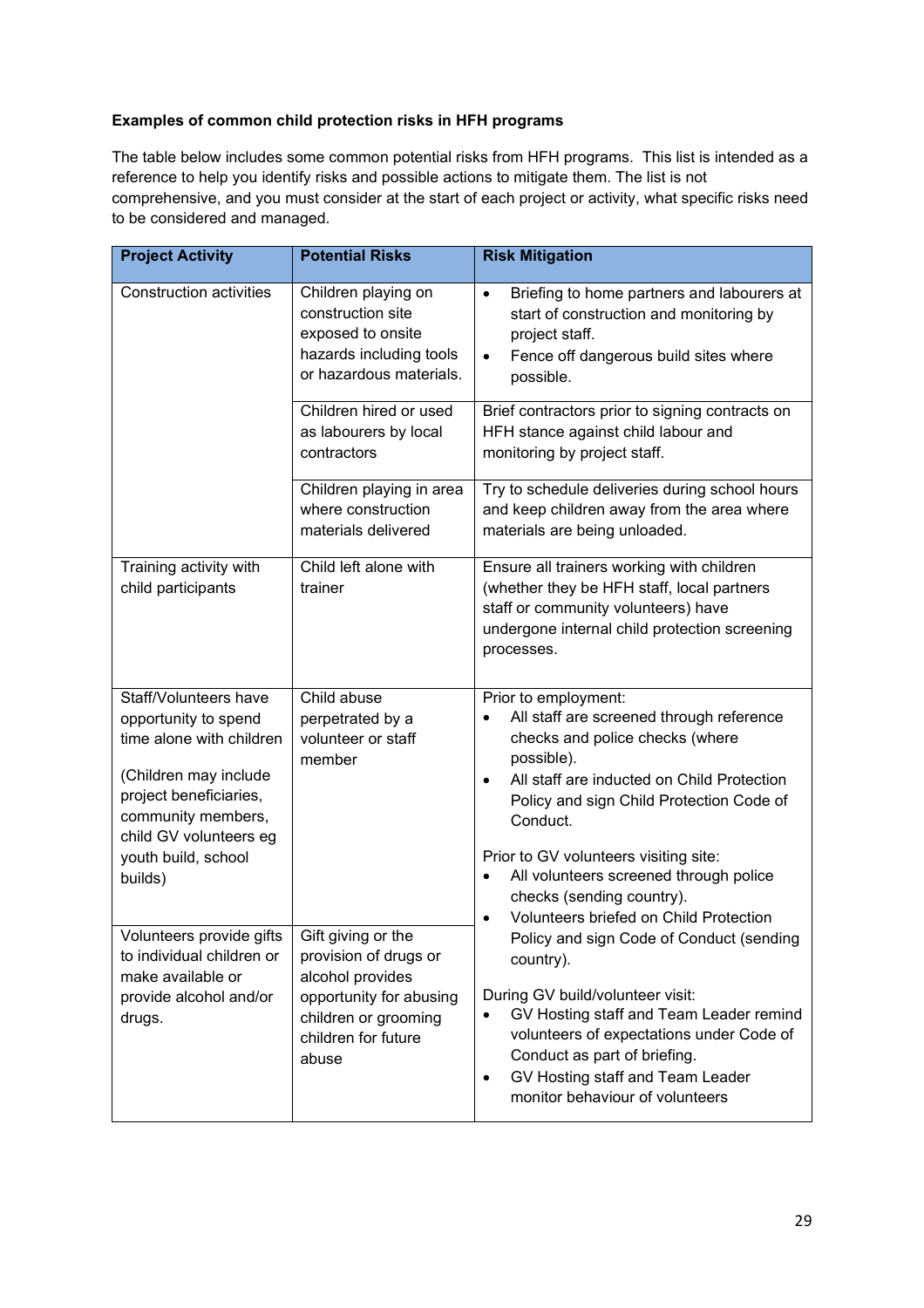# **Examples of common child protection risks in HFH programs**

The table below includes some common potential risks from HFH programs. This list is intended as a reference to help you identify risks and possible actions to mitigate them. The list is not comprehensive, and you must consider at the start of each project or activity, what specific risks need to be considered and managed.

| <b>Project Activity</b>                                                                                                                                                                                                                                                                                                                                                                   | <b>Potential Risks</b>                                                                                              | <b>Risk Mitigation</b>                                                                                                                                                                                                                                                                                                                                                                                                                                               |  |  |  |
|-------------------------------------------------------------------------------------------------------------------------------------------------------------------------------------------------------------------------------------------------------------------------------------------------------------------------------------------------------------------------------------------|---------------------------------------------------------------------------------------------------------------------|----------------------------------------------------------------------------------------------------------------------------------------------------------------------------------------------------------------------------------------------------------------------------------------------------------------------------------------------------------------------------------------------------------------------------------------------------------------------|--|--|--|
| <b>Construction activities</b>                                                                                                                                                                                                                                                                                                                                                            | Children playing on<br>construction site<br>exposed to onsite<br>hazards including tools<br>or hazardous materials. | Briefing to home partners and labourers at<br>$\bullet$<br>start of construction and monitoring by<br>project staff.<br>Fence off dangerous build sites where<br>$\bullet$<br>possible.                                                                                                                                                                                                                                                                              |  |  |  |
|                                                                                                                                                                                                                                                                                                                                                                                           | Children hired or used<br>as labourers by local<br>contractors                                                      | Brief contractors prior to signing contracts on<br>HFH stance against child labour and<br>monitoring by project staff.                                                                                                                                                                                                                                                                                                                                               |  |  |  |
|                                                                                                                                                                                                                                                                                                                                                                                           | Children playing in area<br>where construction<br>materials delivered                                               | Try to schedule deliveries during school hours<br>and keep children away from the area where<br>materials are being unloaded.                                                                                                                                                                                                                                                                                                                                        |  |  |  |
| Training activity with<br>child participants                                                                                                                                                                                                                                                                                                                                              | Child left alone with<br>trainer                                                                                    | Ensure all trainers working with children<br>(whether they be HFH staff, local partners<br>staff or community volunteers) have<br>undergone internal child protection screening<br>processes.                                                                                                                                                                                                                                                                        |  |  |  |
| Staff/Volunteers have<br>Child abuse<br>opportunity to spend<br>perpetrated by a<br>time alone with children<br>volunteer or staff<br>member<br>(Children may include<br>project beneficiaries,<br>community members,<br>child GV volunteers eg<br>youth build, school<br>builds)<br>Volunteers provide gifts<br>Gift giving or the<br>provision of drugs or<br>to individual children or |                                                                                                                     | Prior to employment:<br>All staff are screened through reference<br>checks and police checks (where<br>possible).<br>All staff are inducted on Child Protection<br>$\bullet$<br>Policy and sign Child Protection Code of<br>Conduct.<br>Prior to GV volunteers visiting site:<br>All volunteers screened through police<br>$\bullet$<br>checks (sending country).<br>Volunteers briefed on Child Protection<br>Policy and sign Code of Conduct (sending<br>country). |  |  |  |
| make available or<br>provide alcohol and/or<br>drugs.                                                                                                                                                                                                                                                                                                                                     | alcohol provides<br>opportunity for abusing<br>children or grooming<br>children for future<br>abuse                 | During GV build/volunteer visit:<br>GV Hosting staff and Team Leader remind<br>volunteers of expectations under Code of<br>Conduct as part of briefing.<br>GV Hosting staff and Team Leader<br>$\bullet$<br>monitor behaviour of volunteers                                                                                                                                                                                                                          |  |  |  |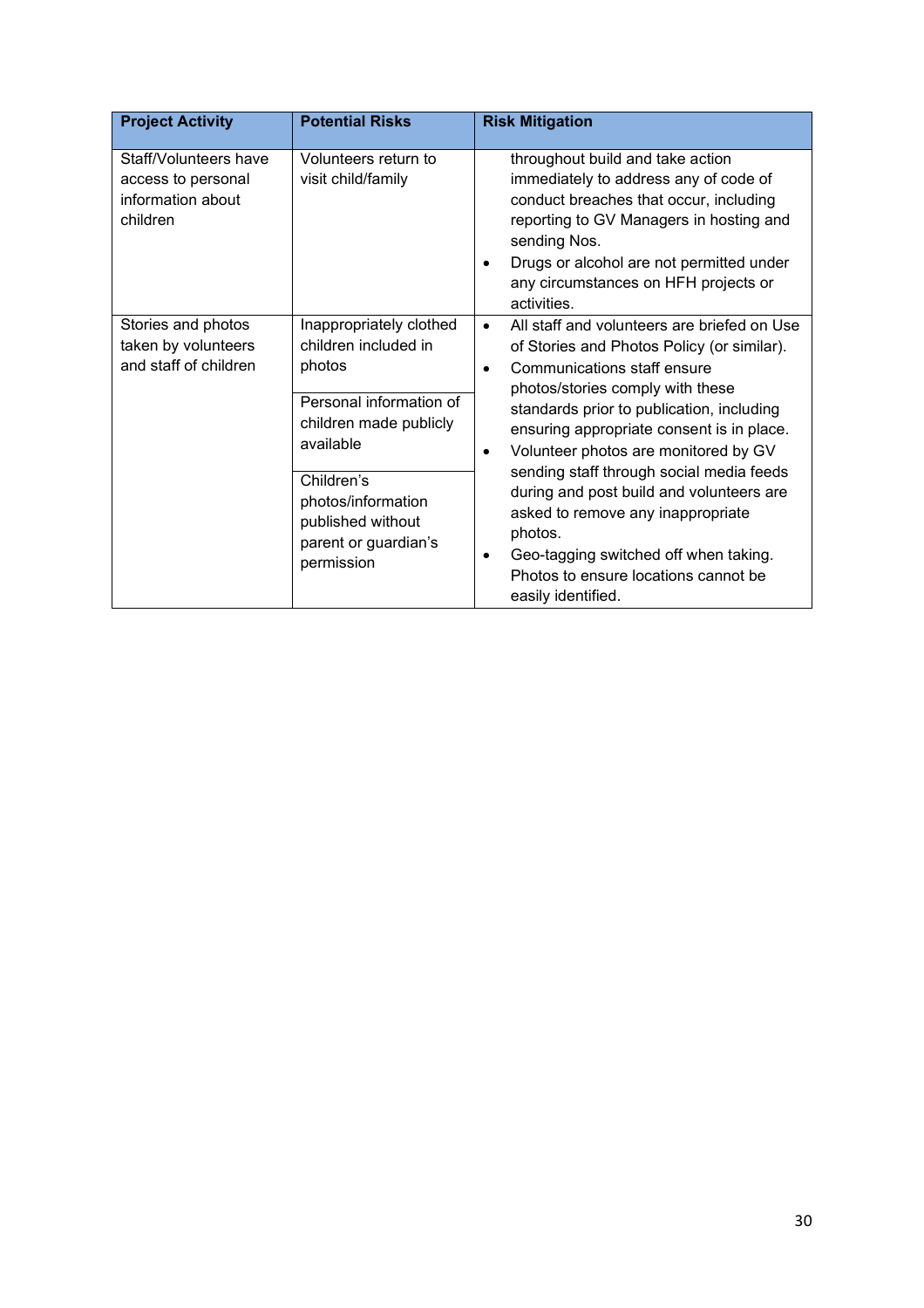| <b>Project Activity</b>                                                      | <b>Potential Risks</b>                                                                                                                                                                                                     | <b>Risk Mitigation</b>                                                                                                                                                                                                                                                                                                                                                                                                                                                                                                                                                                            |
|------------------------------------------------------------------------------|----------------------------------------------------------------------------------------------------------------------------------------------------------------------------------------------------------------------------|---------------------------------------------------------------------------------------------------------------------------------------------------------------------------------------------------------------------------------------------------------------------------------------------------------------------------------------------------------------------------------------------------------------------------------------------------------------------------------------------------------------------------------------------------------------------------------------------------|
| Staff/Volunteers have<br>access to personal<br>information about<br>children | Volunteers return to<br>visit child/family                                                                                                                                                                                 | throughout build and take action<br>immediately to address any of code of<br>conduct breaches that occur, including<br>reporting to GV Managers in hosting and<br>sending Nos.<br>Drugs or alcohol are not permitted under<br>any circumstances on HFH projects or<br>activities.                                                                                                                                                                                                                                                                                                                 |
| Stories and photos<br>taken by volunteers<br>and staff of children           | Inappropriately clothed<br>children included in<br>photos<br>Personal information of<br>children made publicly<br>available<br>Children's<br>photos/information<br>published without<br>parent or guardian's<br>permission | All staff and volunteers are briefed on Use<br>$\bullet$<br>of Stories and Photos Policy (or similar).<br>Communications staff ensure<br>$\bullet$<br>photos/stories comply with these<br>standards prior to publication, including<br>ensuring appropriate consent is in place.<br>Volunteer photos are monitored by GV<br>$\bullet$<br>sending staff through social media feeds<br>during and post build and volunteers are<br>asked to remove any inappropriate<br>photos.<br>Geo-tagging switched off when taking.<br>$\bullet$<br>Photos to ensure locations cannot be<br>easily identified. |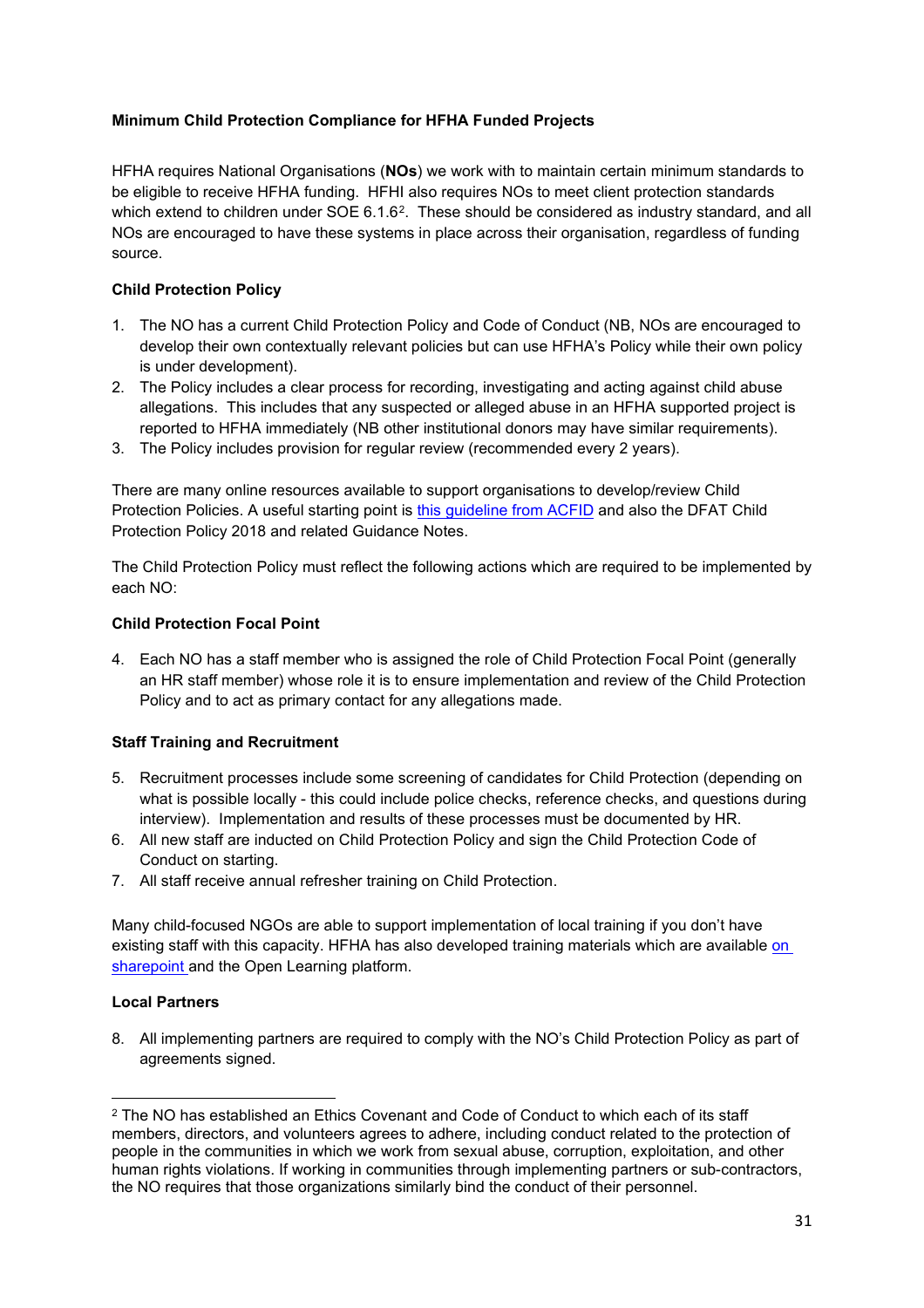# **Minimum Child Protection Compliance for HFHA Funded Projects**

HFHA requires National Organisations (**NOs**) we work with to maintain certain minimum standards to be eligible to receive HFHA funding. HFHI also requires NOs to meet client protection standards which extend to children under SOE 6.1.6<sup>2</sup>. These should be considered as industry standard, and all NOs are encouraged to have these systems in place across their organisation, regardless of funding source.

## **Child Protection Policy**

- 1. The NO has a current Child Protection Policy and Code of Conduct (NB, NOs are encouraged to develop their own contextually relevant policies but can use HFHA's Policy while their own policy is under development).
- 2. The Policy includes a clear process for recording, investigating and acting against child abuse allegations. This includes that any suspected or alleged abuse in an HFHA supported project is reported to HFHA immediately (NB other institutional donors may have similar requirements).
- 3. The Policy includes provision for regular review (recommended every 2 years).

There are many online resources available to support organisations to develop/review Child Protection Policies. A useful starting point is [this guideline from ACFID](https://acfid.asn.au/sites/site.acfid/files/resource_document/ACFID%20Code%20of%20Conduct%20Guidelines%20for%20the%20Development%20of%20a%20Child%20Safeguarding%20Policy_Nov%2018.pdf) and also the DFAT Child Protection Policy 2018 and related Guidance Notes.

The Child Protection Policy must reflect the following actions which are required to be implemented by each NO:

### **Child Protection Focal Point**

4. Each NO has a staff member who is assigned the role of Child Protection Focal Point (generally an HR staff member) whose role it is to ensure implementation and review of the Child Protection Policy and to act as primary contact for any allegations made.

### **Staff Training and Recruitment**

- 5. Recruitment processes include some screening of candidates for Child Protection (depending on what is possible locally - this could include police checks, reference checks, and questions during interview). Implementation and results of these processes must be documented by HR.
- 6. All new staff are inducted on Child Protection Policy and sign the Child Protection Code of Conduct on starting.
- 7. All staff receive annual refresher training on Child Protection.

Many child-focused NGOs are able to support implementation of local training if you don't have existing staff with this capacity. HFHA has also developed training materials which are available [on](http://teams.habitat.org/sites/intl/AP/public/AU/Shared%20Documents/Forms/AllItems.aspx?RootFolder=%2Fsites%2Fintl%2FAP%2Fpublic%2FAU%2FShared%20Documents%2FChild%20Protection%20Training%20Resources%202016&FolderCTID=0x0120005D6D693497FCED449A5F0A61479C0E4B&View=%7b946A8A31-0BFB-4F1B-9FB8-8E24F998E4C0%7d)  [sharepoint](http://teams.habitat.org/sites/intl/AP/public/AU/Shared%20Documents/Forms/AllItems.aspx?RootFolder=%2Fsites%2Fintl%2FAP%2Fpublic%2FAU%2FShared%20Documents%2FChild%20Protection%20Training%20Resources%202016&FolderCTID=0x0120005D6D693497FCED449A5F0A61479C0E4B&View=%7b946A8A31-0BFB-4F1B-9FB8-8E24F998E4C0%7d) and the Open Learning platform.

### **Local Partners**

8. All implementing partners are required to comply with the NO's Child Protection Policy as part of agreements signed.

<span id="page-30-0"></span><sup>2</sup> The NO has established an Ethics Covenant and Code of Conduct to which each of its staff members, directors, and volunteers agrees to adhere, including conduct related to the protection of people in the communities in which we work from sexual abuse, corruption, exploitation, and other human rights violations. If working in communities through implementing partners or sub-contractors, the NO requires that those organizations similarly bind the conduct of their personnel.